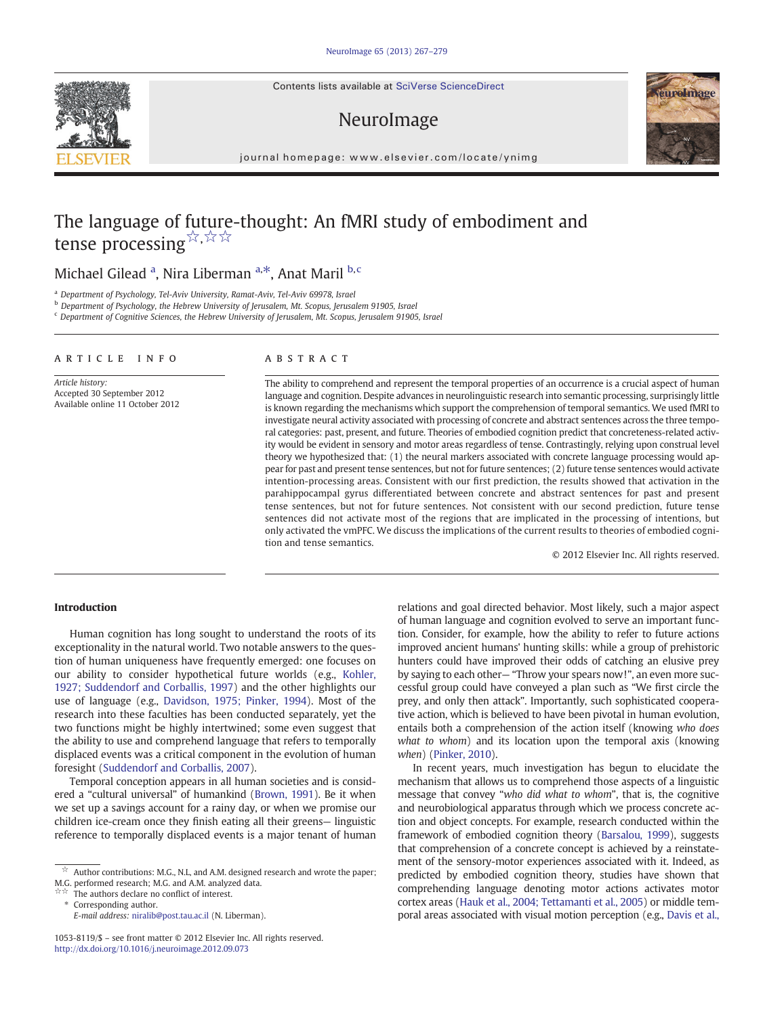Contents lists available at SciVerse ScienceDirect

# NeuroImage



journal homepage: www.elsevier.com/locate/ynimg

# The language of future-thought: An fMRI study of embodiment and tense processing☆,☆☆

## Michael Gilead <sup>a</sup>, Nira Liberman <sup>a,\*</sup>, Anat Maril <sup>b, c</sup>

<sup>a</sup> Department of Psychology, Tel-Aviv University, Ramat-Aviv, Tel-Aviv 69978, Israel

b Department of Psychology, the Hebrew University of Jerusalem, Mt. Scopus, Jerusalem 91905, Israel

<sup>c</sup> Department of Cognitive Sciences, the Hebrew University of Jerusalem, Mt. Scopus, Jerusalem 91905, Israel

#### article info abstract

Article history: Accepted 30 September 2012 Available online 11 October 2012

The ability to comprehend and represent the temporal properties of an occurrence is a crucial aspect of human language and cognition. Despite advances in neurolinguistic research into semantic processing, surprisingly little is known regarding the mechanisms which support the comprehension of temporal semantics. We used fMRI to investigate neural activity associated with processing of concrete and abstract sentences across the three temporal categories: past, present, and future. Theories of embodied cognition predict that concreteness-related activity would be evident in sensory and motor areas regardless of tense. Contrastingly, relying upon construal level theory we hypothesized that: (1) the neural markers associated with concrete language processing would appear for past and present tense sentences, but not for future sentences; (2) future tense sentences would activate intention-processing areas. Consistent with our first prediction, the results showed that activation in the parahippocampal gyrus differentiated between concrete and abstract sentences for past and present tense sentences, but not for future sentences. Not consistent with our second prediction, future tense sentences did not activate most of the regions that are implicated in the processing of intentions, but only activated the vmPFC. We discuss the implications of the current results to theories of embodied cognition and tense semantics.

© 2012 Elsevier Inc. All rights reserved.

#### Introduction

Human cognition has long sought to understand the roots of its exceptionality in the natural world. Two notable answers to the question of human uniqueness have frequently emerged: one focuses on our ability to consider hypothetical future worlds (e.g., [Kohler,](#page-11-0) [1927; Suddendorf and Corballis, 1997](#page-11-0)) and the other highlights our use of language (e.g., [Davidson, 1975; Pinker, 1994](#page-11-0)). Most of the research into these faculties has been conducted separately, yet the two functions might be highly intertwined; some even suggest that the ability to use and comprehend language that refers to temporally displaced events was a critical component in the evolution of human foresight ([Suddendorf and Corballis, 2007](#page-12-0)).

Temporal conception appears in all human societies and is considered a "cultural universal" of humankind ([Brown, 1991](#page-11-0)). Be it when we set up a savings account for a rainy day, or when we promise our children ice-cream once they finish eating all their greens— linguistic reference to temporally displaced events is a major tenant of human

relations and goal directed behavior. Most likely, such a major aspect of human language and cognition evolved to serve an important function. Consider, for example, how the ability to refer to future actions improved ancient humans' hunting skills: while a group of prehistoric hunters could have improved their odds of catching an elusive prey by saying to each other— "Throw your spears now!", an even more successful group could have conveyed a plan such as "We first circle the prey, and only then attack". Importantly, such sophisticated cooperative action, which is believed to have been pivotal in human evolution, entails both a comprehension of the action itself (knowing who does what to whom) and its location upon the temporal axis (knowing when) ([Pinker, 2010](#page-12-0)).

In recent years, much investigation has begun to elucidate the mechanism that allows us to comprehend those aspects of a linguistic message that convey "who did what to whom", that is, the cognitive and neurobiological apparatus through which we process concrete action and object concepts. For example, research conducted within the framework of embodied cognition theory [\(Barsalou, 1999\)](#page-11-0), suggests that comprehension of a concrete concept is achieved by a reinstatement of the sensory-motor experiences associated with it. Indeed, as predicted by embodied cognition theory, studies have shown that comprehending language denoting motor actions activates motor cortex areas [\(Hauk et al., 2004; Tettamanti et al., 2005](#page-11-0)) or middle temporal areas associated with visual motion perception (e.g., [Davis et al.,](#page-11-0)



 $\overrightarrow{a}$  Author contributions: M.G., N.L, and A.M. designed research and wrote the paper; M.G. performed research; M.G. and A.M. analyzed data.

The authors declare no conflict of interest.

Corresponding author.

E-mail address: [niralib@post.tau.ac.il](mailto:niralib@post.tau.ac.il) (N. Liberman).

<sup>1053-8119/\$</sup> – see front matter © 2012 Elsevier Inc. All rights reserved. <http://dx.doi.org/10.1016/j.neuroimage.2012.09.073>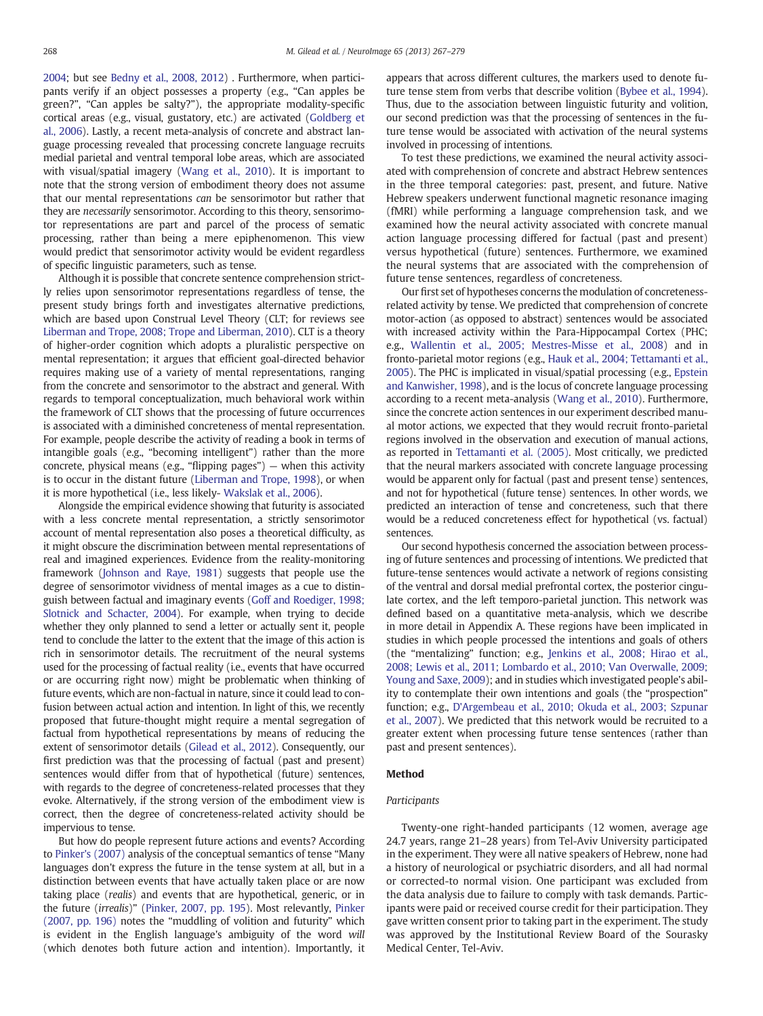[2004;](#page-11-0) but see [Bedny et al., 2008, 2012\)](#page-11-0) . Furthermore, when participants verify if an object possesses a property (e.g., "Can apples be green?", "Can apples be salty?"), the appropriate modality-specific cortical areas (e.g., visual, gustatory, etc.) are activated [\(Goldberg et](#page-11-0) [al., 2006](#page-11-0)). Lastly, a recent meta-analysis of concrete and abstract language processing revealed that processing concrete language recruits medial parietal and ventral temporal lobe areas, which are associated with visual/spatial imagery ([Wang et al., 2010](#page-12-0)). It is important to note that the strong version of embodiment theory does not assume that our mental representations can be sensorimotor but rather that they are necessarily sensorimotor. According to this theory, sensorimotor representations are part and parcel of the process of sematic processing, rather than being a mere epiphenomenon. This view would predict that sensorimotor activity would be evident regardless of specific linguistic parameters, such as tense.

Although it is possible that concrete sentence comprehension strictly relies upon sensorimotor representations regardless of tense, the present study brings forth and investigates alternative predictions, which are based upon Construal Level Theory (CLT; for reviews see [Liberman and Trope, 2008; Trope and Liberman, 2010](#page-11-0)). CLT is a theory of higher-order cognition which adopts a pluralistic perspective on mental representation; it argues that efficient goal-directed behavior requires making use of a variety of mental representations, ranging from the concrete and sensorimotor to the abstract and general. With regards to temporal conceptualization, much behavioral work within the framework of CLT shows that the processing of future occurrences is associated with a diminished concreteness of mental representation. For example, people describe the activity of reading a book in terms of intangible goals (e.g., "becoming intelligent") rather than the more concrete, physical means (e.g., "flipping pages") — when this activity is to occur in the distant future [\(Liberman and Trope, 1998\)](#page-11-0), or when it is more hypothetical (i.e., less likely- [Wakslak et al., 2006\)](#page-12-0).

Alongside the empirical evidence showing that futurity is associated with a less concrete mental representation, a strictly sensorimotor account of mental representation also poses a theoretical difficulty, as it might obscure the discrimination between mental representations of real and imagined experiences. Evidence from the reality-monitoring framework [\(Johnson and Raye, 1981](#page-11-0)) suggests that people use the degree of sensorimotor vividness of mental images as a cue to distinguish between factual and imaginary events [\(Goff and Roediger, 1998;](#page-11-0) [Slotnick and Schacter, 2004\)](#page-11-0). For example, when trying to decide whether they only planned to send a letter or actually sent it, people tend to conclude the latter to the extent that the image of this action is rich in sensorimotor details. The recruitment of the neural systems used for the processing of factual reality (i.e., events that have occurred or are occurring right now) might be problematic when thinking of future events, which are non-factual in nature, since it could lead to confusion between actual action and intention. In light of this, we recently proposed that future-thought might require a mental segregation of factual from hypothetical representations by means of reducing the extent of sensorimotor details ([Gilead et al., 2012](#page-11-0)). Consequently, our first prediction was that the processing of factual (past and present) sentences would differ from that of hypothetical (future) sentences, with regards to the degree of concreteness-related processes that they evoke. Alternatively, if the strong version of the embodiment view is correct, then the degree of concreteness-related activity should be impervious to tense.

But how do people represent future actions and events? According to [Pinker's \(2007\)](#page-12-0) analysis of the conceptual semantics of tense "Many languages don't express the future in the tense system at all, but in a distinction between events that have actually taken place or are now taking place (realis) and events that are hypothetical, generic, or in the future (irrealis)" ([Pinker, 2007, pp. 195\)](#page-12-0). Most relevantly, [Pinker](#page-12-0) [\(2007, pp. 196\)](#page-12-0) notes the "muddling of volition and futurity" which is evident in the English language's ambiguity of the word will (which denotes both future action and intention). Importantly, it appears that across different cultures, the markers used to denote future tense stem from verbs that describe volition [\(Bybee et al., 1994\)](#page-11-0). Thus, due to the association between linguistic futurity and volition, our second prediction was that the processing of sentences in the future tense would be associated with activation of the neural systems involved in processing of intentions.

To test these predictions, we examined the neural activity associated with comprehension of concrete and abstract Hebrew sentences in the three temporal categories: past, present, and future. Native Hebrew speakers underwent functional magnetic resonance imaging (fMRI) while performing a language comprehension task, and we examined how the neural activity associated with concrete manual action language processing differed for factual (past and present) versus hypothetical (future) sentences. Furthermore, we examined the neural systems that are associated with the comprehension of future tense sentences, regardless of concreteness.

Our first set of hypotheses concerns the modulation of concretenessrelated activity by tense. We predicted that comprehension of concrete motor-action (as opposed to abstract) sentences would be associated with increased activity within the Para-Hippocampal Cortex (PHC; e.g., [Wallentin et al., 2005; Mestres-Misse et al., 2008\)](#page-12-0) and in fronto-parietal motor regions (e.g., [Hauk et al., 2004; Tettamanti et al.,](#page-11-0) [2005\)](#page-11-0). The PHC is implicated in visual/spatial processing (e.g., [Epstein](#page-11-0) [and Kanwisher, 1998](#page-11-0)), and is the locus of concrete language processing according to a recent meta-analysis [\(Wang et al., 2010](#page-12-0)). Furthermore, since the concrete action sentences in our experiment described manual motor actions, we expected that they would recruit fronto-parietal regions involved in the observation and execution of manual actions, as reported in [Tettamanti et al. \(2005\).](#page-12-0) Most critically, we predicted that the neural markers associated with concrete language processing would be apparent only for factual (past and present tense) sentences, and not for hypothetical (future tense) sentences. In other words, we predicted an interaction of tense and concreteness, such that there would be a reduced concreteness effect for hypothetical (vs. factual) sentences.

Our second hypothesis concerned the association between processing of future sentences and processing of intentions. We predicted that future-tense sentences would activate a network of regions consisting of the ventral and dorsal medial prefrontal cortex, the posterior cingulate cortex, and the left temporo-parietal junction. This network was defined based on a quantitative meta-analysis, which we describe in more detail in Appendix A. These regions have been implicated in studies in which people processed the intentions and goals of others (the "mentalizing" function; e.g., [Jenkins et al., 2008; Hirao et al.,](#page-11-0) [2008; Lewis et al., 2011; Lombardo et al., 2010; Van Overwalle, 2009;](#page-11-0) [Young and Saxe, 2009\)](#page-11-0); and in studies which investigated people's ability to contemplate their own intentions and goals (the "prospection" function; e.g., [D'Argembeau et al., 2010; Okuda et al., 2003; Szpunar](#page-11-0) [et al., 2007\)](#page-11-0). We predicted that this network would be recruited to a greater extent when processing future tense sentences (rather than past and present sentences).

#### Method

#### Participants

Twenty-one right-handed participants (12 women, average age 24.7 years, range 21–28 years) from Tel-Aviv University participated in the experiment. They were all native speakers of Hebrew, none had a history of neurological or psychiatric disorders, and all had normal or corrected-to normal vision. One participant was excluded from the data analysis due to failure to comply with task demands. Participants were paid or received course credit for their participation. They gave written consent prior to taking part in the experiment. The study was approved by the Institutional Review Board of the Sourasky Medical Center, Tel-Aviv.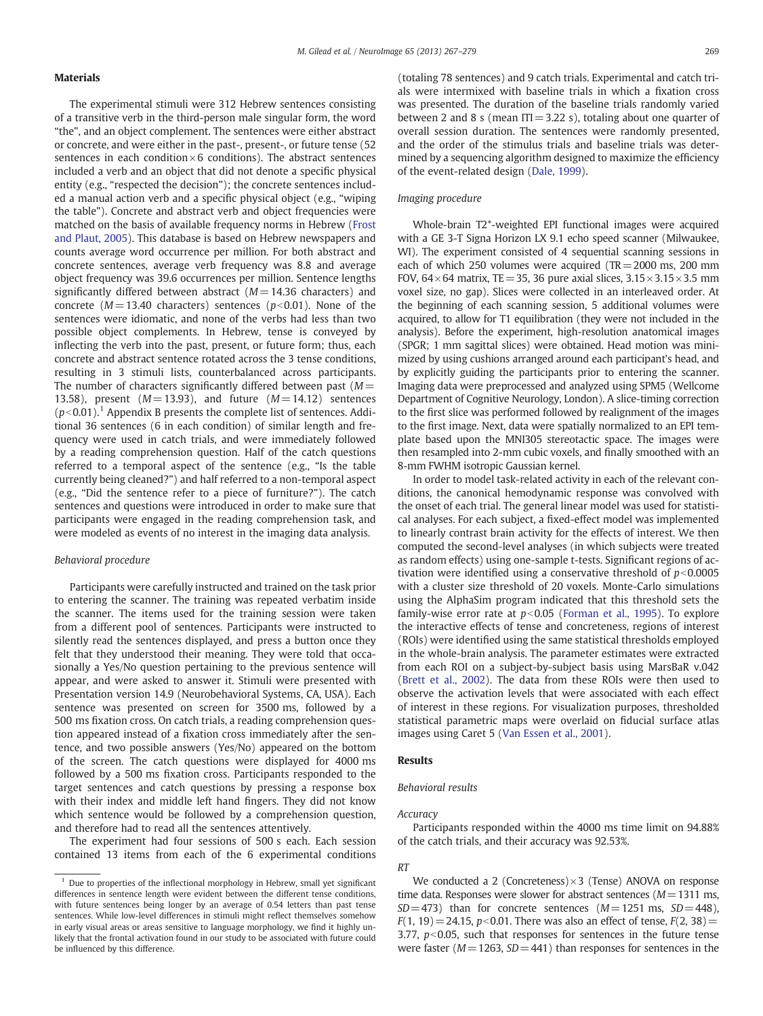#### Materials

The experimental stimuli were 312 Hebrew sentences consisting of a transitive verb in the third-person male singular form, the word "the", and an object complement. The sentences were either abstract or concrete, and were either in the past-, present-, or future tense (52 sentences in each condition $\times$ 6 conditions). The abstract sentences included a verb and an object that did not denote a specific physical entity (e.g., "respected the decision"); the concrete sentences included a manual action verb and a specific physical object (e.g., "wiping the table"). Concrete and abstract verb and object frequencies were matched on the basis of available frequency norms in Hebrew ([Frost](#page-11-0) [and Plaut, 2005\)](#page-11-0). This database is based on Hebrew newspapers and counts average word occurrence per million. For both abstract and concrete sentences, average verb frequency was 8.8 and average object frequency was 39.6 occurrences per million. Sentence lengths significantly differed between abstract ( $M= 14.36$  characters) and concrete ( $M=13.40$  characters) sentences ( $p<0.01$ ). None of the sentences were idiomatic, and none of the verbs had less than two possible object complements. In Hebrew, tense is conveyed by inflecting the verb into the past, present, or future form; thus, each concrete and abstract sentence rotated across the 3 tense conditions, resulting in 3 stimuli lists, counterbalanced across participants. The number of characters significantly differed between past  $(M=$ 13.58), present  $(M= 13.93)$ , and future  $(M= 14.12)$  sentences  $(p<0.01)$ .<sup>1</sup> Appendix B presents the complete list of sentences. Additional 36 sentences (6 in each condition) of similar length and frequency were used in catch trials, and were immediately followed by a reading comprehension question. Half of the catch questions referred to a temporal aspect of the sentence (e.g., "Is the table currently being cleaned?") and half referred to a non-temporal aspect (e.g., "Did the sentence refer to a piece of furniture?"). The catch sentences and questions were introduced in order to make sure that participants were engaged in the reading comprehension task, and were modeled as events of no interest in the imaging data analysis.

#### Behavioral procedure

Participants were carefully instructed and trained on the task prior to entering the scanner. The training was repeated verbatim inside the scanner. The items used for the training session were taken from a different pool of sentences. Participants were instructed to silently read the sentences displayed, and press a button once they felt that they understood their meaning. They were told that occasionally a Yes/No question pertaining to the previous sentence will appear, and were asked to answer it. Stimuli were presented with Presentation version 14.9 (Neurobehavioral Systems, CA, USA). Each sentence was presented on screen for 3500 ms, followed by a 500 ms fixation cross. On catch trials, a reading comprehension question appeared instead of a fixation cross immediately after the sentence, and two possible answers (Yes/No) appeared on the bottom of the screen. The catch questions were displayed for 4000 ms followed by a 500 ms fixation cross. Participants responded to the target sentences and catch questions by pressing a response box with their index and middle left hand fingers. They did not know which sentence would be followed by a comprehension question, and therefore had to read all the sentences attentively.

The experiment had four sessions of 500 s each. Each session contained 13 items from each of the 6 experimental conditions (totaling 78 sentences) and 9 catch trials. Experimental and catch trials were intermixed with baseline trials in which a fixation cross was presented. The duration of the baseline trials randomly varied between 2 and 8 s (mean  $ITI=3.22$  s), totaling about one quarter of overall session duration. The sentences were randomly presented, and the order of the stimulus trials and baseline trials was determined by a sequencing algorithm designed to maximize the efficiency of the event-related design [\(Dale, 1999\)](#page-11-0).

#### Imaging procedure

Whole-brain T2\*-weighted EPI functional images were acquired with a GE 3-T Signa Horizon LX 9.1 echo speed scanner (Milwaukee, WI). The experiment consisted of 4 sequential scanning sessions in each of which 250 volumes were acquired (TR=2000 ms, 200 mm FOV,  $64 \times 64$  matrix, TE = 35, 36 pure axial slices,  $3.15 \times 3.15 \times 3.5$  mm voxel size, no gap). Slices were collected in an interleaved order. At the beginning of each scanning session, 5 additional volumes were acquired, to allow for T1 equilibration (they were not included in the analysis). Before the experiment, high-resolution anatomical images (SPGR; 1 mm sagittal slices) were obtained. Head motion was minimized by using cushions arranged around each participant's head, and by explicitly guiding the participants prior to entering the scanner. Imaging data were preprocessed and analyzed using SPM5 (Wellcome Department of Cognitive Neurology, London). A slice-timing correction to the first slice was performed followed by realignment of the images to the first image. Next, data were spatially normalized to an EPI template based upon the MNI305 stereotactic space. The images were then resampled into 2-mm cubic voxels, and finally smoothed with an 8-mm FWHM isotropic Gaussian kernel.

In order to model task-related activity in each of the relevant conditions, the canonical hemodynamic response was convolved with the onset of each trial. The general linear model was used for statistical analyses. For each subject, a fixed-effect model was implemented to linearly contrast brain activity for the effects of interest. We then computed the second-level analyses (in which subjects were treated as random effects) using one-sample t-tests. Significant regions of activation were identified using a conservative threshold of  $p<0.0005$ with a cluster size threshold of 20 voxels. Monte-Carlo simulations using the AlphaSim program indicated that this threshold sets the family-wise error rate at  $p<0.05$  ([Forman et al., 1995](#page-11-0)). To explore the interactive effects of tense and concreteness, regions of interest (ROIs) were identified using the same statistical thresholds employed in the whole-brain analysis. The parameter estimates were extracted from each ROI on a subject-by-subject basis using MarsBaR v.042 [\(Brett et al., 2002\)](#page-11-0). The data from these ROIs were then used to observe the activation levels that were associated with each effect of interest in these regions. For visualization purposes, thresholded statistical parametric maps were overlaid on fiducial surface atlas images using Caret 5 [\(Van Essen et al., 2001\)](#page-12-0).

#### Results

#### Behavioral results

#### Accuracy

Participants responded within the 4000 ms time limit on 94.88% of the catch trials, and their accuracy was 92.53%.

#### RT

We conducted a 2 (Concreteness) $\times$ 3 (Tense) ANOVA on response time data. Responses were slower for abstract sentences ( $M=1311$  ms,  $SD = 473$ ) than for concrete sentences ( $M = 1251$  ms,  $SD = 448$ ),  $F(1, 19) = 24.15$ ,  $p < 0.01$ . There was also an effect of tense,  $F(2, 38)$  = 3.77,  $p<0.05$ , such that responses for sentences in the future tense were faster ( $M=1263$ ,  $SD=441$ ) than responses for sentences in the

 $1$  Due to properties of the inflectional morphology in Hebrew, small yet significant differences in sentence length were evident between the different tense conditions, with future sentences being longer by an average of 0.54 letters than past tense sentences. While low-level differences in stimuli might reflect themselves somehow in early visual areas or areas sensitive to language morphology, we find it highly unlikely that the frontal activation found in our study to be associated with future could be influenced by this difference.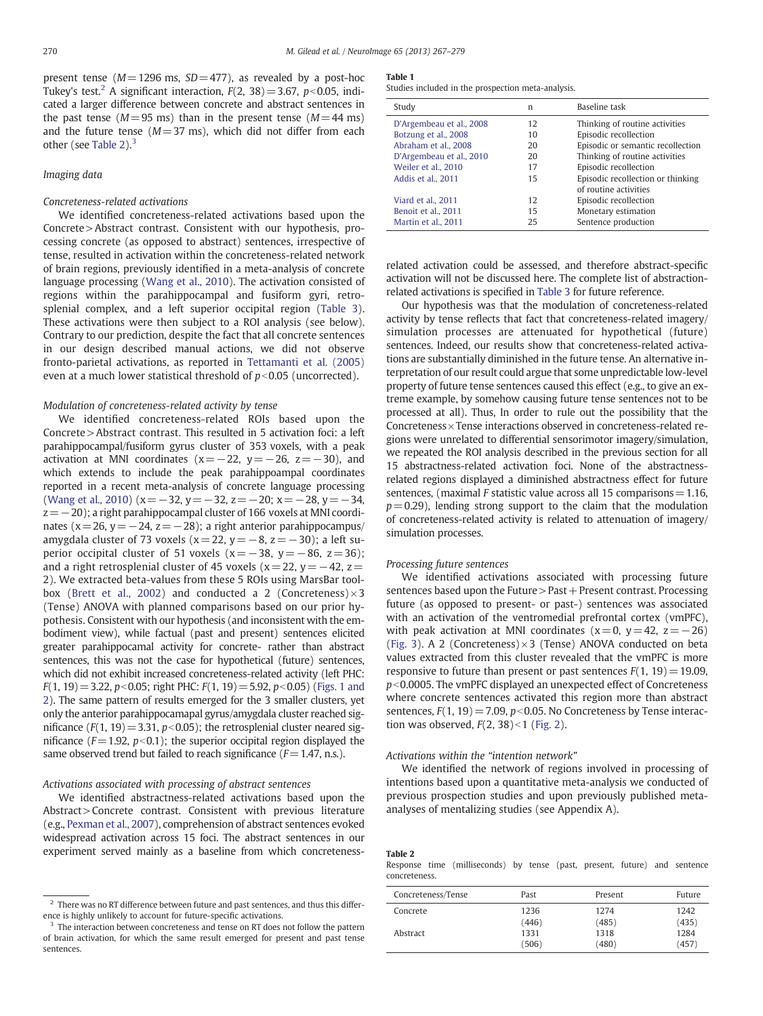<span id="page-3-0"></span>present tense ( $M=1296$  ms,  $SD=477$ ), as revealed by a post-hoc Tukey's test.<sup>2</sup> A significant interaction,  $F(2, 38) = 3.67$ ,  $p < 0.05$ , indicated a larger difference between concrete and abstract sentences in the past tense ( $M=95$  ms) than in the present tense ( $M=44$  ms) and the future tense  $(M=37 \text{ ms})$ , which did not differ from each other (see Table 2).<sup>3</sup>

#### Imaging data

#### Concreteness-related activations

We identified concreteness-related activations based upon the Concrete>Abstract contrast. Consistent with our hypothesis, processing concrete (as opposed to abstract) sentences, irrespective of tense, resulted in activation within the concreteness-related network of brain regions, previously identified in a meta-analysis of concrete language processing ([Wang et al., 2010\)](#page-12-0). The activation consisted of regions within the parahippocampal and fusiform gyri, retrosplenial complex, and a left superior occipital region ([Table 3](#page-4-0)). These activations were then subject to a ROI analysis (see below). Contrary to our prediction, despite the fact that all concrete sentences in our design described manual actions, we did not observe fronto-parietal activations, as reported in [Tettamanti et al. \(2005\)](#page-12-0) even at a much lower statistical threshold of  $p<0.05$  (uncorrected).

#### Modulation of concreteness-related activity by tense

We identified concreteness-related ROIs based upon the Concrete >Abstract contrast. This resulted in 5 activation foci: a left parahippocampal/fusiform gyrus cluster of 353 voxels, with a peak activation at MNI coordinates ( $x=-22$ ,  $y=-26$ ,  $z=-30$ ), and which extends to include the peak parahippoampal coordinates reported in a recent meta-analysis of concrete language processing [\(Wang et al., 2010](#page-12-0)) ( $x = -32$ ,  $y = -32$ ,  $z = -20$ ;  $x = -28$ ,  $y = -34$ ,  $z=-20$ ); a right parahippocampal cluster of 166 voxels at MNI coordinates (x=26, y=−24, z=−28); a right anterior parahippocampus/ amygdala cluster of 73 voxels (x=22, y=−8, z=−30); a left superior occipital cluster of 51 voxels (x= $-38$ , y= $-86$ , z=36); and a right retrosplenial cluster of 45 voxels ( $x=$  22,  $y=-42$ ,  $z=$ 2). We extracted beta-values from these 5 ROIs using MarsBar tool-box [\(Brett et al., 2002\)](#page-11-0) and conducted a 2 (Concreteness) $\times$ 3 (Tense) ANOVA with planned comparisons based on our prior hypothesis. Consistent with our hypothesis (and inconsistent with the embodiment view), while factual (past and present) sentences elicited greater parahippocamal activity for concrete- rather than abstract sentences, this was not the case for hypothetical (future) sentences, which did not exhibit increased concreteness-related activity (left PHC:  $F(1, 19) = 3.22$ , p<0.05; right PHC:  $F(1, 19) = 5.92$ , p<0.05) ([Figs. 1 and](#page-5-0) [2](#page-5-0)). The same pattern of results emerged for the 3 smaller clusters, yet only the anterior parahippocamapal gyrus/amygdala cluster reached significance ( $F(1, 19) = 3.31$ ,  $p < 0.05$ ); the retrosplenial cluster neared significance ( $F=1.92$ ,  $p<0.1$ ); the superior occipital region displayed the same observed trend but failed to reach significance  $(F=1.47, n.s.).$ 

#### Activations associated with processing of abstract sentences

We identified abstractness-related activations based upon the Abstract> Concrete contrast. Consistent with previous literature (e.g., [Pexman et al., 2007](#page-12-0)), comprehension of abstract sentences evoked widespread activation across 15 foci. The abstract sentences in our experiment served mainly as a baseline from which concreteness-

#### Table 1

Studies included in the prospection meta-analysis.

| Study                    | n  | Baseline task                     |
|--------------------------|----|-----------------------------------|
| D'Argembeau et al., 2008 | 12 | Thinking of routine activities    |
| Botzung et al., 2008     | 10 | Episodic recollection             |
| Abraham et al., 2008     | 20 | Episodic or semantic recollection |
| D'Argembeau et al., 2010 | 20 | Thinking of routine activities    |
| Weiler et al., 2010      | 17 | Episodic recollection             |
| Addis et al., 2011       | 15 | Episodic recollection or thinking |
|                          |    | of routine activities             |
| Viard et al., 2011       | 12 | Episodic recollection             |
| Benoit et al., 2011      | 15 | Monetary estimation               |
| Martin et al., 2011      | 25 | Sentence production               |
|                          |    |                                   |

related activation could be assessed, and therefore abstract-specific activation will not be discussed here. The complete list of abstractionrelated activations is specified in [Table 3](#page-4-0) for future reference.

Our hypothesis was that the modulation of concreteness-related activity by tense reflects that fact that concreteness-related imagery/ simulation processes are attenuated for hypothetical (future) sentences. Indeed, our results show that concreteness-related activations are substantially diminished in the future tense. An alternative interpretation of our result could argue that some unpredictable low-level property of future tense sentences caused this effect (e.g., to give an extreme example, by somehow causing future tense sentences not to be processed at all). Thus, In order to rule out the possibility that the Concreteness×Tense interactions observed in concreteness-related regions were unrelated to differential sensorimotor imagery/simulation, we repeated the ROI analysis described in the previous section for all 15 abstractness-related activation foci. None of the abstractnessrelated regions displayed a diminished abstractness effect for future sentences, (maximal F statistic value across all 15 comparisons  $=1.16$ ,  $p=0.29$ ), lending strong support to the claim that the modulation of concreteness-related activity is related to attenuation of imagery/ simulation processes.

#### Processing future sentences

We identified activations associated with processing future sentences based upon the Future > Past + Present contrast. Processing future (as opposed to present- or past-) sentences was associated with an activation of the ventromedial prefrontal cortex (vmPFC), with peak activation at MNI coordinates  $(x=0, y=42, z=-26)$ [\(Fig. 3\)](#page-7-0). A 2 (Concreteness) $\times$ 3 (Tense) ANOVA conducted on beta values extracted from this cluster revealed that the vmPFC is more responsive to future than present or past sentences  $F(1, 19) = 19.09$ ,  $p$ <0.0005. The vmPFC displayed an unexpected effect of Concreteness where concrete sentences activated this region more than abstract sentences,  $F(1, 19) = 7.09$ ,  $p < 0.05$ . No Concreteness by Tense interaction was observed,  $F(2, 38) < 1$  [\(Fig. 2](#page-6-0)).

#### Activations within the "intention network"

We identified the network of regions involved in processing of intentions based upon a quantitative meta-analysis we conducted of previous prospection studies and upon previously published metaanalyses of mentalizing studies (see Appendix A).

Table 2

Response time (milliseconds) by tense (past, present, future) and sentence concreteness.

| Past  | Present | Future |
|-------|---------|--------|
| 1236  | 1274    | 1242   |
| (446) | (485)   | (435)  |
| 1331  | 1318    | 1284   |
| (506) | (480)   | (457)  |
|       |         |        |

 $2$  There was no RT difference between future and past sentences, and thus this difference is highly unlikely to account for future-specific activations.

<sup>&</sup>lt;sup>3</sup> The interaction between concreteness and tense on RT does not follow the pattern of brain activation, for which the same result emerged for present and past tense sentences.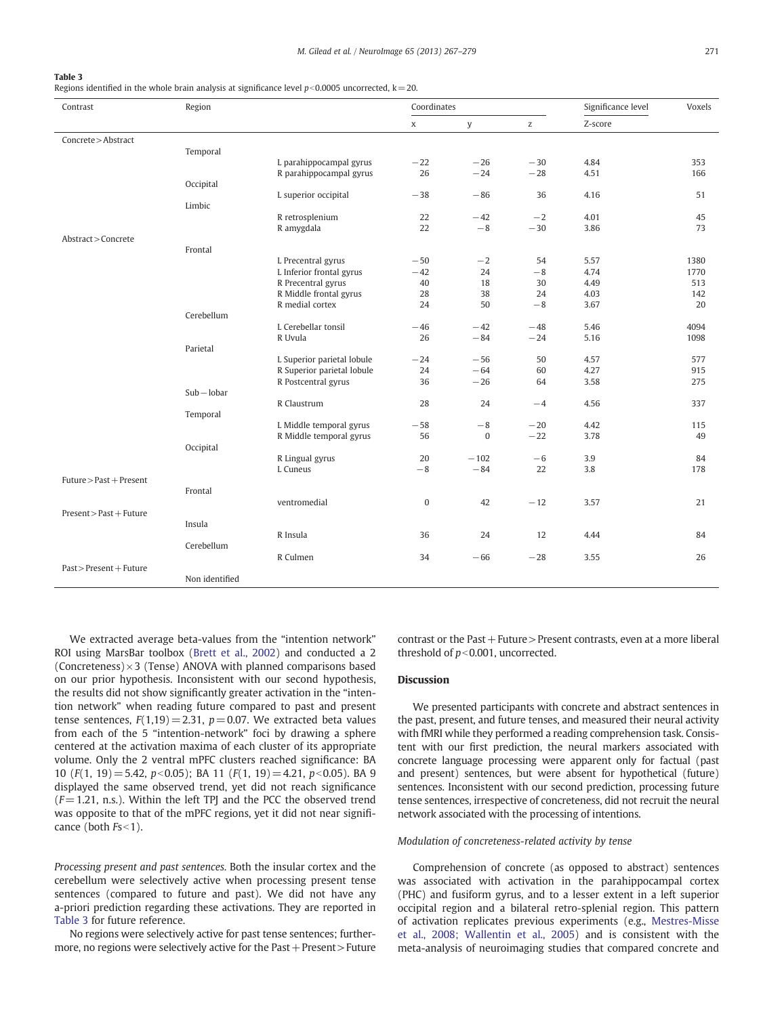#### <span id="page-4-0"></span>Table 3

Regions identified in the whole brain analysis at significance level  $p<0.0005$  uncorrected, k=20.

| Contrast                      | Region         |                             | Coordinates      |                 | Significance level | Voxels     |           |
|-------------------------------|----------------|-----------------------------|------------------|-----------------|--------------------|------------|-----------|
|                               |                |                             | $\mathbf x$      | y               | $\mathsf Z$        | Z-score    |           |
| Concrete > Abstract           |                |                             |                  |                 |                    |            |           |
|                               | Temporal       |                             |                  |                 |                    |            |           |
|                               |                | L parahippocampal gyrus     | $-22$            | $-26$           | $-30$              | 4.84       | 353       |
|                               |                | R parahippocampal gyrus     | 26               | $-24$           | $-28$              | 4.51       | 166       |
|                               | Occipital      |                             |                  |                 |                    |            |           |
|                               |                | L superior occipital        | $-38$            | $-86$           | 36                 | 4.16       | 51        |
|                               | Limbic         |                             |                  |                 |                    |            |           |
|                               |                | R retrosplenium             | 22               | $-42$           | $-2$               | 4.01       | 45        |
|                               |                | R amygdala                  | 22               | $-8$            | $-30$              | 3.86       | 73        |
| Abstract > Concrete           |                |                             |                  |                 |                    |            |           |
|                               | Frontal        |                             |                  |                 |                    |            |           |
|                               |                | L Precentral gyrus          | $-50$            | $-2$            | 54                 | 5.57       | 1380      |
|                               |                | L Inferior frontal gyrus    | $-42$            | 24              | $-8$               | 4.74       | 1770      |
|                               |                | R Precentral gyrus          | 40               | 18              | 30                 | 4.49       | 513       |
|                               |                | R Middle frontal gyrus      | 28               | 38              | 24                 | 4.03       | 142       |
|                               |                | R medial cortex             | 24               | 50              | $-8$               | 3.67       | 20        |
|                               | Cerebellum     |                             |                  |                 |                    |            |           |
|                               |                | L Cerebellar tonsil         | $-46$            | $-42$           | $-48$              | 5.46       | 4094      |
|                               |                | R Uvula                     | 26               | $-84$           | $-24$              | 5.16       | 1098      |
|                               | Parietal       |                             |                  |                 |                    |            |           |
|                               |                | L Superior parietal lobule  | $-24$            | $-56$           | 50                 | 4.57       | 577       |
|                               |                | R Superior parietal lobule  | 24               | $-64$           | 60                 | 4.27       | 915       |
|                               |                | R Postcentral gyrus         | 36               | $-26$           | 64                 | 3.58       | 275       |
|                               | $Sub - lobar$  |                             |                  |                 |                    |            |           |
|                               |                | R Claustrum                 | 28               | 24              | $-4$               | 4.56       | 337       |
|                               | Temporal       |                             |                  |                 |                    |            |           |
|                               |                | L Middle temporal gyrus     | $-58$            | $-8$            | $-20$              | 4.42       | 115       |
|                               |                | R Middle temporal gyrus     | 56               | $\bf{0}$        | $-22$              | 3.78       | 49        |
|                               | Occipital      |                             |                  |                 |                    |            |           |
|                               |                | R Lingual gyrus<br>L Cuneus | 20<br>$-8$       | $-102$<br>$-84$ | $-6$<br>22         | 3.9<br>3.8 | 84<br>178 |
| Future > Past + Present       |                |                             |                  |                 |                    |            |           |
|                               | Frontal        |                             |                  |                 |                    |            |           |
|                               |                | ventromedial                | $\boldsymbol{0}$ | 42              | $-12$              | 3.57       | 21        |
| Present > Past + Future       |                |                             |                  |                 |                    |            |           |
|                               | Insula         |                             |                  |                 |                    |            |           |
|                               |                | R Insula                    | 36               | 24              | 12                 | 4.44       | 84        |
|                               | Cerebellum     |                             |                  |                 |                    |            |           |
|                               |                | R Culmen                    | 34               | $-66$           | $-28$              | 3.55       | 26        |
| $Fast$ > $Present$ + $Future$ |                |                             |                  |                 |                    |            |           |
|                               | Non identified |                             |                  |                 |                    |            |           |
|                               |                |                             |                  |                 |                    |            |           |

We extracted average beta-values from the "intention network" ROI using MarsBar toolbox [\(Brett et al., 2002](#page-11-0)) and conducted a 2 (Concreteness) $\times$ 3 (Tense) ANOVA with planned comparisons based on our prior hypothesis. Inconsistent with our second hypothesis, the results did not show significantly greater activation in the "intention network" when reading future compared to past and present tense sentences,  $F(1,19)=2.31$ ,  $p=0.07$ . We extracted beta values from each of the 5 "intention-network" foci by drawing a sphere centered at the activation maxima of each cluster of its appropriate volume. Only the 2 ventral mPFC clusters reached significance: BA 10 ( $F(1, 19) = 5.42$ ,  $p < 0.05$ ); BA 11 ( $F(1, 19) = 4.21$ ,  $p < 0.05$ ). BA 9 displayed the same observed trend, yet did not reach significance  $(F= 1.21, n.s.).$  Within the left TPJ and the PCC the observed trend was opposite to that of the mPFC regions, yet it did not near significance (both  $Fs<1$ ).

Processing present and past sentences. Both the insular cortex and the cerebellum were selectively active when processing present tense sentences (compared to future and past). We did not have any a-priori prediction regarding these activations. They are reported in Table 3 for future reference.

No regions were selectively active for past tense sentences; furthermore, no regions were selectively active for the  $\text{Fast}+\text{Present}>\text{Future}$  contrast or the Past  $+$  Future  $>$  Present contrasts, even at a more liberal threshold of  $p<0.001$ , uncorrected.

#### Discussion

We presented participants with concrete and abstract sentences in the past, present, and future tenses, and measured their neural activity with fMRI while they performed a reading comprehension task. Consistent with our first prediction, the neural markers associated with concrete language processing were apparent only for factual (past and present) sentences, but were absent for hypothetical (future) sentences. Inconsistent with our second prediction, processing future tense sentences, irrespective of concreteness, did not recruit the neural network associated with the processing of intentions.

#### Modulation of concreteness-related activity by tense

Comprehension of concrete (as opposed to abstract) sentences was associated with activation in the parahippocampal cortex (PHC) and fusiform gyrus, and to a lesser extent in a left superior occipital region and a bilateral retro-splenial region. This pattern of activation replicates previous experiments (e.g., [Mestres-Misse](#page-11-0) [et al., 2008; Wallentin et al., 2005\)](#page-11-0) and is consistent with the meta-analysis of neuroimaging studies that compared concrete and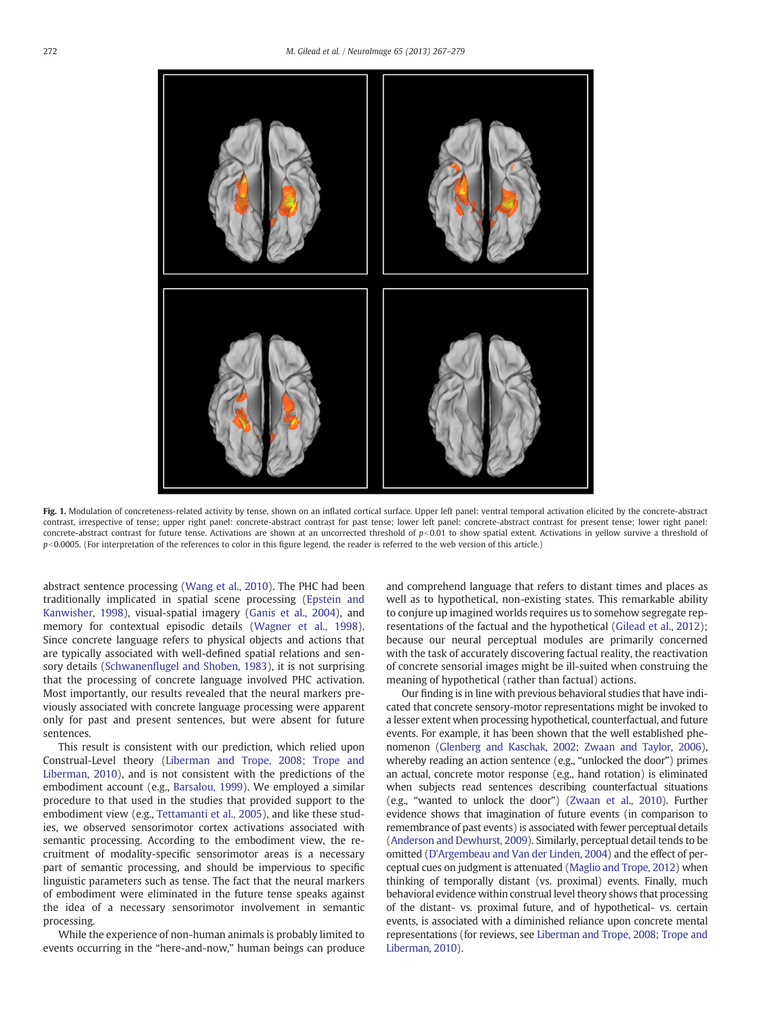<span id="page-5-0"></span>

Fig. 1. Modulation of concreteness-related activity by tense, shown on an inflated cortical surface. Upper left panel: ventral temporal activation elicited by the concrete-abstract contrast, irrespective of tense; upper right panel: concrete-abstract contrast for past tense; lower left panel: concrete-abstract contrast for present tense; lower right panel: concrete-abstract contrast for future tense. Activations are shown at an uncorrected threshold of  $p<0.01$  to show spatial extent. Activations in yellow survive a threshold of  $p<0.0005$ . (For interpretation of the references to color in this figure legend, the reader is referred to the web version of this article.)

abstract sentence processing ([Wang et al., 2010](#page-12-0)). The PHC had been traditionally implicated in spatial scene processing ([Epstein and](#page-11-0) [Kanwisher, 1998](#page-11-0)), visual-spatial imagery ([Ganis et al., 2004\)](#page-11-0), and memory for contextual episodic details ([Wagner et al., 1998](#page-12-0)). Since concrete language refers to physical objects and actions that are typically associated with well-defined spatial relations and sensory details (Schwanenfl[ugel and Shoben, 1983\)](#page-12-0), it is not surprising that the processing of concrete language involved PHC activation. Most importantly, our results revealed that the neural markers previously associated with concrete language processing were apparent only for past and present sentences, but were absent for future sentences.

This result is consistent with our prediction, which relied upon Construal-Level theory [\(Liberman and Trope, 2008; Trope and](#page-11-0) [Liberman, 2010\)](#page-11-0), and is not consistent with the predictions of the embodiment account (e.g., [Barsalou, 1999\)](#page-11-0). We employed a similar procedure to that used in the studies that provided support to the embodiment view (e.g., [Tettamanti et al., 2005\)](#page-12-0), and like these studies, we observed sensorimotor cortex activations associated with semantic processing. According to the embodiment view, the recruitment of modality-specific sensorimotor areas is a necessary part of semantic processing, and should be impervious to specific linguistic parameters such as tense. The fact that the neural markers of embodiment were eliminated in the future tense speaks against the idea of a necessary sensorimotor involvement in semantic processing.

While the experience of non-human animals is probably limited to events occurring in the "here-and-now," human beings can produce and comprehend language that refers to distant times and places as well as to hypothetical, non-existing states. This remarkable ability to conjure up imagined worlds requires us to somehow segregate representations of the factual and the hypothetical ([Gilead et al., 2012\)](#page-11-0); because our neural perceptual modules are primarily concerned with the task of accurately discovering factual reality, the reactivation of concrete sensorial images might be ill-suited when construing the meaning of hypothetical (rather than factual) actions.

Our finding is in line with previous behavioral studies that have indicated that concrete sensory-motor representations might be invoked to a lesser extent when processing hypothetical, counterfactual, and future events. For example, it has been shown that the well established phenomenon [\(Glenberg and Kaschak, 2002; Zwaan and Taylor, 2006\)](#page-11-0), whereby reading an action sentence (e.g., "unlocked the door") primes an actual, concrete motor response (e.g., hand rotation) is eliminated when subjects read sentences describing counterfactual situations (e.g., "wanted to unlock the door") [\(Zwaan et al., 2010\)](#page-12-0). Further evidence shows that imagination of future events (in comparison to remembrance of past events) is associated with fewer perceptual details [\(Anderson and Dewhurst, 2009\)](#page-11-0). Similarly, perceptual detail tends to be omitted [\(D'Argembeau and Van der Linden, 2004](#page-11-0)) and the effect of perceptual cues on judgment is attenuated ([Maglio and Trope, 2012](#page-11-0)) when thinking of temporally distant (vs. proximal) events. Finally, much behavioral evidence within construal level theory shows that processing of the distant- vs. proximal future, and of hypothetical- vs. certain events, is associated with a diminished reliance upon concrete mental representations (for reviews, see [Liberman and Trope, 2008; Trope and](#page-11-0) [Liberman, 2010\)](#page-11-0).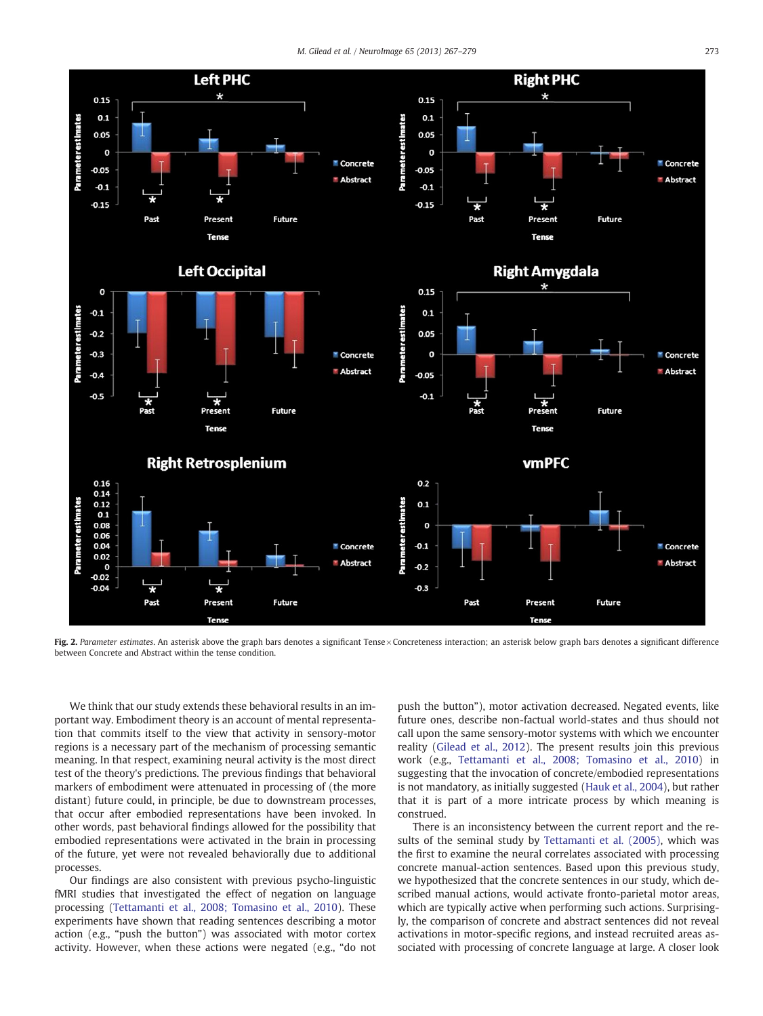<span id="page-6-0"></span>

Fig. 2. Parameter estimates. An asterisk above the graph bars denotes a significant Tense × Concreteness interaction; an asterisk below graph bars denotes a significant difference between Concrete and Abstract within the tense condition.

We think that our study extends these behavioral results in an important way. Embodiment theory is an account of mental representation that commits itself to the view that activity in sensory-motor regions is a necessary part of the mechanism of processing semantic meaning. In that respect, examining neural activity is the most direct test of the theory's predictions. The previous findings that behavioral markers of embodiment were attenuated in processing of (the more distant) future could, in principle, be due to downstream processes, that occur after embodied representations have been invoked. In other words, past behavioral findings allowed for the possibility that embodied representations were activated in the brain in processing of the future, yet were not revealed behaviorally due to additional processes.

Our findings are also consistent with previous psycho-linguistic fMRI studies that investigated the effect of negation on language processing ([Tettamanti et al., 2008; Tomasino et al., 2010\)](#page-12-0). These experiments have shown that reading sentences describing a motor action (e.g., "push the button") was associated with motor cortex activity. However, when these actions were negated (e.g., "do not push the button"), motor activation decreased. Negated events, like future ones, describe non-factual world-states and thus should not call upon the same sensory-motor systems with which we encounter reality ([Gilead et al., 2012](#page-11-0)). The present results join this previous work (e.g., [Tettamanti et al., 2008; Tomasino et al., 2010](#page-12-0)) in suggesting that the invocation of concrete/embodied representations is not mandatory, as initially suggested [\(Hauk et al., 2004\)](#page-11-0), but rather that it is part of a more intricate process by which meaning is construed.

There is an inconsistency between the current report and the results of the seminal study by [Tettamanti et al. \(2005\),](#page-12-0) which was the first to examine the neural correlates associated with processing concrete manual-action sentences. Based upon this previous study, we hypothesized that the concrete sentences in our study, which described manual actions, would activate fronto-parietal motor areas, which are typically active when performing such actions. Surprisingly, the comparison of concrete and abstract sentences did not reveal activations in motor-specific regions, and instead recruited areas associated with processing of concrete language at large. A closer look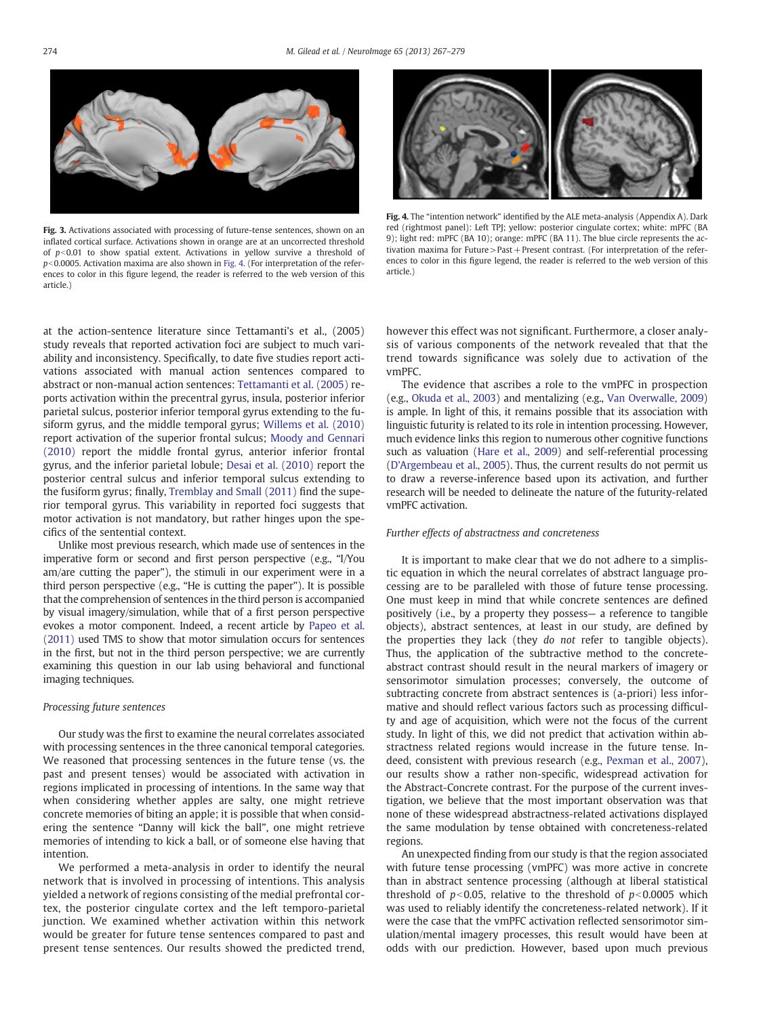<span id="page-7-0"></span>

Fig. 3. Activations associated with processing of future-tense sentences, shown on an inflated cortical surface. Activations shown in orange are at an uncorrected threshold of  $p<0.01$  to show spatial extent. Activations in yellow survive a threshold of  $p<$  0.0005. Activation maxima are also shown in Fig. 4. (For interpretation of the references to color in this figure legend, the reader is referred to the web version of this article.)



Fig. 4. The "intention network" identified by the ALE meta-analysis (Appendix A). Dark red (rightmost panel): Left TPJ; yellow: posterior cingulate cortex; white: mPFC (BA 9); light red: mPFC (BA 10); orange: mPFC (BA 11). The blue circle represents the activation maxima for Future>Past+Present contrast. (For interpretation of the references to color in this figure legend, the reader is referred to the web version of this article.)

at the action-sentence literature since Tettamanti's et al., (2005) study reveals that reported activation foci are subject to much variability and inconsistency. Specifically, to date five studies report activations associated with manual action sentences compared to abstract or non-manual action sentences: [Tettamanti et al. \(2005\)](#page-12-0) reports activation within the precentral gyrus, insula, posterior inferior parietal sulcus, posterior inferior temporal gyrus extending to the fusiform gyrus, and the middle temporal gyrus; [Willems et al. \(2010\)](#page-12-0) report activation of the superior frontal sulcus; [Moody and Gennari](#page-12-0) [\(2010\)](#page-12-0) report the middle frontal gyrus, anterior inferior frontal gyrus, and the inferior parietal lobule; [Desai et al. \(2010\)](#page-11-0) report the posterior central sulcus and inferior temporal sulcus extending to the fusiform gyrus; finally, [Tremblay and Small \(2011\)](#page-12-0) find the superior temporal gyrus. This variability in reported foci suggests that motor activation is not mandatory, but rather hinges upon the specifics of the sentential context.

Unlike most previous research, which made use of sentences in the imperative form or second and first person perspective (e.g., "I/You am/are cutting the paper"), the stimuli in our experiment were in a third person perspective (e.g., "He is cutting the paper"). It is possible that the comprehension of sentences in the third person is accompanied by visual imagery/simulation, while that of a first person perspective evokes a motor component. Indeed, a recent article by [Papeo et al.](#page-12-0) [\(2011\)](#page-12-0) used TMS to show that motor simulation occurs for sentences in the first, but not in the third person perspective; we are currently examining this question in our lab using behavioral and functional imaging techniques.

#### Processing future sentences

Our study was the first to examine the neural correlates associated with processing sentences in the three canonical temporal categories. We reasoned that processing sentences in the future tense (vs. the past and present tenses) would be associated with activation in regions implicated in processing of intentions. In the same way that when considering whether apples are salty, one might retrieve concrete memories of biting an apple; it is possible that when considering the sentence "Danny will kick the ball", one might retrieve memories of intending to kick a ball, or of someone else having that intention.

We performed a meta-analysis in order to identify the neural network that is involved in processing of intentions. This analysis yielded a network of regions consisting of the medial prefrontal cortex, the posterior cingulate cortex and the left temporo-parietal junction. We examined whether activation within this network would be greater for future tense sentences compared to past and present tense sentences. Our results showed the predicted trend,

however this effect was not significant. Furthermore, a closer analysis of various components of the network revealed that that the trend towards significance was solely due to activation of the vmPFC.

The evidence that ascribes a role to the vmPFC in prospection (e.g., [Okuda et al., 2003](#page-12-0)) and mentalizing (e.g., [Van Overwalle, 2009](#page-12-0)) is ample. In light of this, it remains possible that its association with linguistic futurity is related to its role in intention processing. However, much evidence links this region to numerous other cognitive functions such as valuation [\(Hare et al., 2009](#page-11-0)) and self-referential processing [\(D'Argembeau et al., 2005\)](#page-11-0). Thus, the current results do not permit us to draw a reverse-inference based upon its activation, and further research will be needed to delineate the nature of the futurity-related vmPFC activation.

#### Further effects of abstractness and concreteness

It is important to make clear that we do not adhere to a simplistic equation in which the neural correlates of abstract language processing are to be paralleled with those of future tense processing. One must keep in mind that while concrete sentences are defined positively (i.e., by a property they possess— a reference to tangible objects), abstract sentences, at least in our study, are defined by the properties they lack (they do not refer to tangible objects). Thus, the application of the subtractive method to the concreteabstract contrast should result in the neural markers of imagery or sensorimotor simulation processes; conversely, the outcome of subtracting concrete from abstract sentences is (a-priori) less informative and should reflect various factors such as processing difficulty and age of acquisition, which were not the focus of the current study. In light of this, we did not predict that activation within abstractness related regions would increase in the future tense. Indeed, consistent with previous research (e.g., [Pexman et al., 2007](#page-12-0)), our results show a rather non-specific, widespread activation for the Abstract-Concrete contrast. For the purpose of the current investigation, we believe that the most important observation was that none of these widespread abstractness-related activations displayed the same modulation by tense obtained with concreteness-related regions.

An unexpected finding from our study is that the region associated with future tense processing (vmPFC) was more active in concrete than in abstract sentence processing (although at liberal statistical threshold of  $p<0.05$ , relative to the threshold of  $p<0.0005$  which was used to reliably identify the concreteness-related network). If it were the case that the vmPFC activation reflected sensorimotor simulation/mental imagery processes, this result would have been at odds with our prediction. However, based upon much previous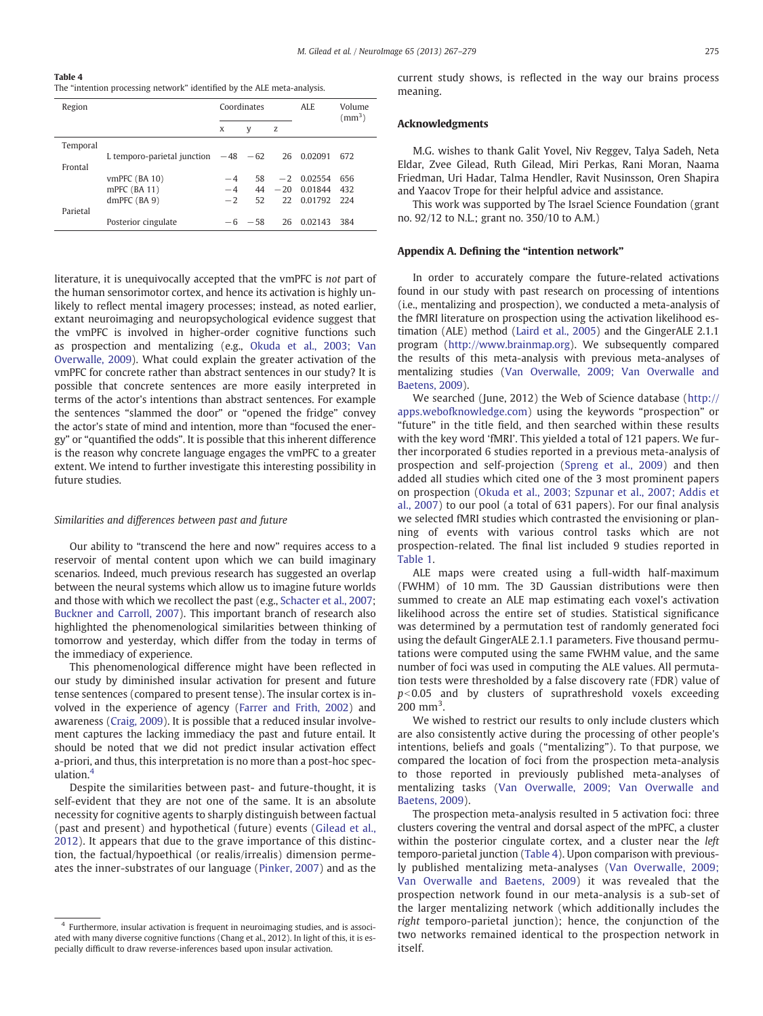Table 4 The "intention processing network" identified by the ALE meta-analysis.

| Region   |                                       |      | Coordinates |    | ALE.              | Volume<br>$\rm (mm^3)$ |
|----------|---------------------------------------|------|-------------|----|-------------------|------------------------|
|          |                                       | X    | y           | Z  |                   |                        |
| Temporal |                                       |      |             |    |                   |                        |
|          | L temporo-parietal junction $-48 -62$ |      |             |    | 26 0.02091        | 672                    |
| Frontal  |                                       |      |             |    |                   |                        |
|          | $v$ mPFC $(BA 10)$                    | $-4$ | 58          |    | $-2$ 0.02554      | 656                    |
|          | mPFC (BA 11)                          | $-4$ |             |    | $44 - 20 0.01844$ | 432                    |
|          | $dmPFC$ (BA 9)                        | $-2$ | 52          |    | 22 0.01792 224    |                        |
| Parietal |                                       |      |             |    |                   |                        |
|          | Posterior cingulate                   |      | $-6 - 58$   | 26 | 0.02143           | 384                    |

literature, it is unequivocally accepted that the vmPFC is not part of the human sensorimotor cortex, and hence its activation is highly unlikely to reflect mental imagery processes; instead, as noted earlier, extant neuroimaging and neuropsychological evidence suggest that the vmPFC is involved in higher-order cognitive functions such as prospection and mentalizing (e.g., [Okuda et al., 2003; Van](#page-12-0) [Overwalle, 2009\)](#page-12-0). What could explain the greater activation of the vmPFC for concrete rather than abstract sentences in our study? It is possible that concrete sentences are more easily interpreted in terms of the actor's intentions than abstract sentences. For example the sentences "slammed the door" or "opened the fridge" convey the actor's state of mind and intention, more than "focused the energy" or "quantified the odds". It is possible that this inherent difference is the reason why concrete language engages the vmPFC to a greater extent. We intend to further investigate this interesting possibility in future studies.

#### Similarities and differences between past and future

Our ability to "transcend the here and now" requires access to a reservoir of mental content upon which we can build imaginary scenarios. Indeed, much previous research has suggested an overlap between the neural systems which allow us to imagine future worlds and those with which we recollect the past (e.g., [Schacter et al., 2007;](#page-12-0) [Buckner and Carroll, 2007\)](#page-11-0). This important branch of research also highlighted the phenomenological similarities between thinking of tomorrow and yesterday, which differ from the today in terms of the immediacy of experience.

This phenomenological difference might have been reflected in our study by diminished insular activation for present and future tense sentences (compared to present tense). The insular cortex is involved in the experience of agency ([Farrer and Frith, 2002](#page-11-0)) and awareness [\(Craig, 2009](#page-11-0)). It is possible that a reduced insular involvement captures the lacking immediacy the past and future entail. It should be noted that we did not predict insular activation effect a-priori, and thus, this interpretation is no more than a post-hoc speculation.<sup>4</sup>

Despite the similarities between past- and future-thought, it is self-evident that they are not one of the same. It is an absolute necessity for cognitive agents to sharply distinguish between factual (past and present) and hypothetical (future) events ([Gilead et al.,](#page-11-0) [2012](#page-11-0)). It appears that due to the grave importance of this distinction, the factual/hypoethical (or realis/irrealis) dimension permeates the inner-substrates of our language [\(Pinker, 2007](#page-12-0)) and as the current study shows, is reflected in the way our brains process meaning.

#### Acknowledgments

M.G. wishes to thank Galit Yovel, Niv Reggev, Talya Sadeh, Neta Eldar, Zvee Gilead, Ruth Gilead, Miri Perkas, Rani Moran, Naama Friedman, Uri Hadar, Talma Hendler, Ravit Nusinsson, Oren Shapira and Yaacov Trope for their helpful advice and assistance.

This work was supported by The Israel Science Foundation (grant no. 92/12 to N.L.; grant no. 350/10 to A.M.)

#### Appendix A. Defining the "intention network"

In order to accurately compare the future-related activations found in our study with past research on processing of intentions (i.e., mentalizing and prospection), we conducted a meta-analysis of the fMRI literature on prospection using the activation likelihood estimation (ALE) method [\(Laird et al., 2005](#page-11-0)) and the GingerALE 2.1.1 program [\(http://www.brainmap.org\)](http://www.brainmap.org). We subsequently compared the results of this meta-analysis with previous meta-analyses of mentalizing studies [\(Van Overwalle, 2009; Van Overwalle and](#page-12-0) [Baetens, 2009](#page-12-0)).

We searched (June, 2012) the Web of Science database ([http://](http://apps.webofknowledge.com) [apps.webofknowledge.com\)](http://apps.webofknowledge.com) using the keywords "prospection" or "future" in the title field, and then searched within these results with the key word 'fMRI'. This yielded a total of 121 papers. We further incorporated 6 studies reported in a previous meta-analysis of prospection and self-projection ([Spreng et al., 2009\)](#page-12-0) and then added all studies which cited one of the 3 most prominent papers on prospection ([Okuda et al., 2003; Szpunar et al., 2007; Addis et](#page-12-0) [al., 2007](#page-12-0)) to our pool (a total of 631 papers). For our final analysis we selected fMRI studies which contrasted the envisioning or planning of events with various control tasks which are not prospection-related. The final list included 9 studies reported in [Table 1.](#page-3-0)

ALE maps were created using a full-width half-maximum (FWHM) of 10 mm. The 3D Gaussian distributions were then summed to create an ALE map estimating each voxel's activation likelihood across the entire set of studies. Statistical significance was determined by a permutation test of randomly generated foci using the default GingerALE 2.1.1 parameters. Five thousand permutations were computed using the same FWHM value, and the same number of foci was used in computing the ALE values. All permutation tests were thresholded by a false discovery rate (FDR) value of  $p<0.05$  and by clusters of suprathreshold voxels exceeding  $200 \text{ mm}^3$ .

We wished to restrict our results to only include clusters which are also consistently active during the processing of other people's intentions, beliefs and goals ("mentalizing"). To that purpose, we compared the location of foci from the prospection meta-analysis to those reported in previously published meta-analyses of mentalizing tasks [\(Van Overwalle, 2009; Van Overwalle and](#page-12-0) [Baetens, 2009](#page-12-0)).

The prospection meta-analysis resulted in 5 activation foci: three clusters covering the ventral and dorsal aspect of the mPFC, a cluster within the posterior cingulate cortex, and a cluster near the left temporo-parietal junction (Table 4). Upon comparison with previously published mentalizing meta-analyses ([Van Overwalle, 2009;](#page-12-0) [Van Overwalle and Baetens, 2009\)](#page-12-0) it was revealed that the prospection network found in our meta-analysis is a sub-set of the larger mentalizing network (which additionally includes the right temporo-parietal junction); hence, the conjunction of the two networks remained identical to the prospection network in itself.

<sup>4</sup> Furthermore, insular activation is frequent in neuroimaging studies, and is associated with many diverse cognitive functions (Chang et al., 2012). In light of this, it is especially difficult to draw reverse-inferences based upon insular activation.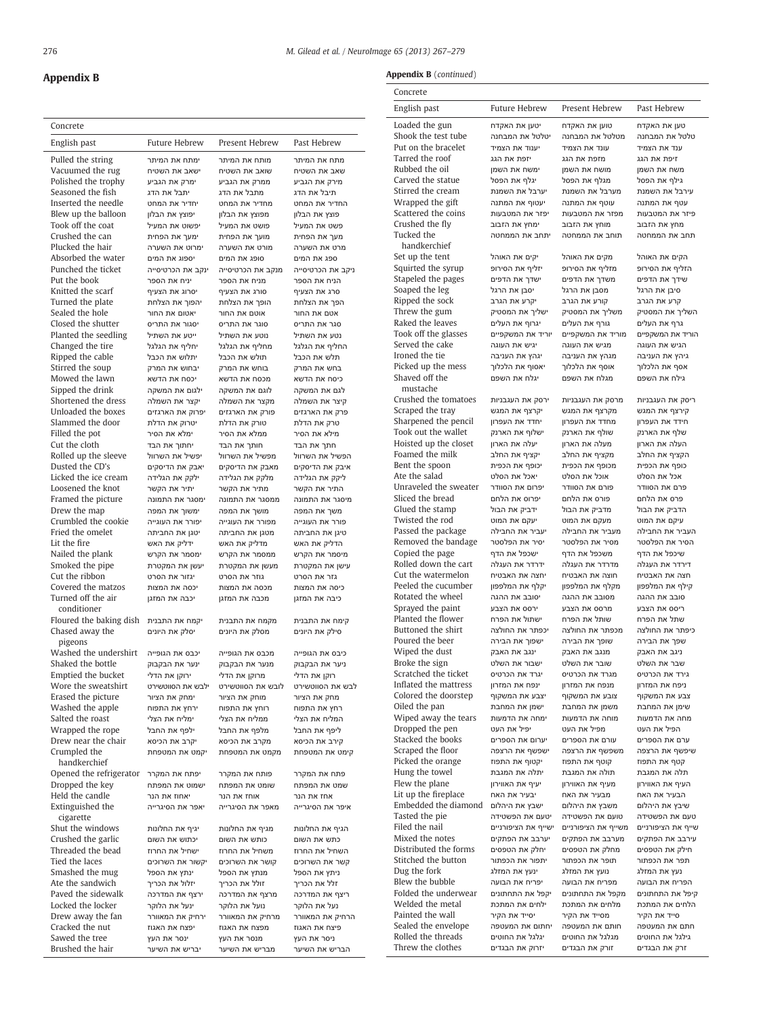$\overline{\phantom{a}}$ 

### 276 M. Gilead et al. / NeuroImage 65 (2013) 267–279

J.

### Appendix B

| Concrete                                 |                                   |                                   |                                   |
|------------------------------------------|-----------------------------------|-----------------------------------|-----------------------------------|
| English past                             | <b>Future Hebrew</b>              | Present Hebrew                    | Past Hebrew                       |
| Pulled the string                        | ימתח את המיתר                     | מותח את המיתר                     | מתח את המיתר                      |
| Vacuumed the rug                         | ישאב את השטיח                     | שואב את השטיח                     | שאב את השטיח                      |
| Polished the trophy<br>Seasoned the fish | ימרק את הגביע<br>יתבל את הדג      | ממרק את הגביע<br>מתבל את הדג      | מירק את הגביע<br>תיבל את הדג      |
| Inserted the needle                      | יחדיר את המחט                     | מחדיר את המחט                     | החדיר את המחט                     |
| Blew up the balloon                      | יפוצץ את הבלון                    | מפוצץ את הבלון                    | פוצץ את הבלון                     |
| Took off the coat                        | יפשוט את המעיל                    | פושט את המעיל                     | פשט את המעיל                      |
| Crushed the can                          | ימעך את הפחית                     | מועך את הפחית                     | מעך את הפחית                      |
| Plucked the hair                         | ימרוט את השערה                    | מורט את השערה                     | מרט את השערה                      |
| Absorbed the water                       | יספוג את המים                     | סופג את המים                      | ספג את המים                       |
| Punched the ticket<br>Put the book       | ינקב את הכרטיסייה<br>יניח את הספר | מנקב את הכרטיסייה<br>מניח את הספר | ניקב את הכרטיסייה<br>הניח את הספר |
| Knitted the scarf                        | יסרוג את הצעיף                    | סורג את הצעיף                     | סרג את הצעיף                      |
| Turned the plate                         | יהפוך את הצלחת                    | הופך את הצלחת                     | הפך את הצלחת                      |
| Sealed the hole                          | יאטום את החור                     | אוטם את החור                      | אטם את החור                       |
| Closed the shutter                       | יסגור את התריס                    | סוגר את התריס                     | סגר את התריס                      |
| Planted the seedling                     | ייטע את השתיל                     | נוטע את השתיל                     | נטע את השתיל                      |
| Changed the tire                         | יחליף את הגלגל                    | מחליף את הגלגל                    | החליף את הגלגל                    |
| Ripped the cable                         | יתלוש את הכבל                     | תולש את הכבל                      | תלש את הכבל                       |
| Stirred the soup                         | יבחוש את המרק                     | בוחש את המרק                      | בחש את המרק                       |
| Mowed the lawn                           | יכסח את הדשא                      | מכסח את הדשא                      | כיסח את הדשא                      |
| Sipped the drink<br>Shortened the dress  | ילגום את המשקה<br>יקצר את השמלה   | לוגם את המשקה<br>מקצר את השמלה    | לגם את המשקה<br>קיצר את השמלה     |
| Unloaded the boxes                       | יפרוק את הארגזים                  | פורק את הארגזים                   | פרק את הארגזים                    |
| Slammed the door                         | יטרוק את הדלת                     | טורק את הדלת                      | טרק את הדלת                       |
| Filled the pot                           | ימלא את הסיר                      | ממלא את הסיר                      | מילא את הסיר                      |
| Cut the cloth                            | יחתוך את הבד                      | חותך את הבד                       | חתך את הבד                        |
| Rolled up the sleeve                     | יפשיל את השרוול                   | מפשיל את השרוול                   | הפשיל את השרוול                   |
| Dusted the CD's                          | יאבק את הדיסקים                   | מאבק את הדיסקים                   | איבק את הדיסקים                   |
| Licked the ice cream                     | ילקק את הגלידה                    | מלקק את הגלידה                    | ליקק את הגלידה                    |
| Loosened the knot                        | יתיר את הקשר                      | מתיר את הקשר                      | התיר את הקשר                      |
| Framed the picture<br>Drew the map       | ימסגר את התמונה                   | ממסגר את התמונה                   | מיסגר את התמונה                   |
| Crumbled the cookie                      | ימשוך את המפה<br>יפורר את העוגייה | מושך את המפה<br>מפורר את העוגייה  | משך את המפה<br>פורר את העוגייה    |
| Fried the omelet                         | יטגן את החביתה                    | מטגן את החביתה                    | טיגן את החביתה                    |
| Lit the fire                             | ידליק את האש                      | מדליק את האש                      | הדליק את האש                      |
| Nailed the plank                         | ימסמר את הקרש                     | ממסמר את הקרש                     | מיסמר את הקרש                     |
| Smoked the pipe                          | יעשן את המקטרת                    | מעשן את המקטרת                    | עישן את המקטרת                    |
| Cut the ribbon                           | יגזור את הסרט                     | גוזר את הסרט                      | גזר את הסרט                       |
| Covered the matzos                       | יכסה את המצות                     | מכסה את המצות                     | כיסה את המצות                     |
| Turned off the air<br>conditioner        | יכבה את המזגן                     | מכבה את המזגן                     | כיבה את המזגן                     |
| Floured the baking dish                  | יקמח את התבנית                    | מקמח את התבנית                    | קימח את התבנית                    |
| Chased away the                          | יסלק את היונים                    | מסלק את היונים                    | סילק את היונים                    |
| pigeons                                  |                                   |                                   |                                   |
| Washed the undershirt                    | יכבס את הגופייה                   | מכבס את הגופייה                   | כיבס את הגופייה                   |
| Shaked the bottle                        | ינער את הבקבוק                    | מנער את הבקבוק                    | ניער את הבקבוק                    |
| Emptied the bucket                       | ירוקן את הדלי                     | מרוקן את הדלי                     | רוקן את הדלי                      |
| Wore the sweatshirt                      | ילבש את הסווטשירט                 | לובש את הסווטשירט                 | לבש את הסווטשירט                  |
| Erased the picture                       | ימחק את הציור                     | מוחק את הציור                     | מחק את הציור                      |
| Washed the apple<br>Salted the roast     | ירחץ את התפוח<br>ימליח את הצלי    | רוחץ את התפוח<br>ממליח את הצלי    | רחץ את התפוח<br>המליח את הצלי     |
| Wrapped the rope                         | ילפף את החבל                      | מלפף את החבל                      | ליפף את החבל                      |
| Drew near the chair                      | יקרב את הכיסא                     | מקרב את הכיסא                     | קירב את הכיסא                     |
| Crumpled the                             | יקמט את המטפחת                    | מקמט את המטפחת                    | קימט את המטפחת                    |
| handkerchief                             |                                   |                                   |                                   |
| Opened the refrigerator                  | יפתח את המקרר                     | פותח את המקרר                     | פתח את המקרר                      |
| Dropped the key                          | ישמוט את המפתח                    | שומט את המפתח                     | שמט את המפתח                      |
| Held the candle                          | יאחוז את הנר                      | אוחז את הנר                       | אחז את הנר                        |
| Extinguished the<br>cigarette            | יאפר את הסיגרייה                  | מאפר את הסיגרייה                  | איפר את הסיגרייה                  |
| Shut the windows<br>Crushed the garlic   | יגיף את החלונות                   | מגיף את החלונות                   | הגיף את החלונות                   |
| Threaded the bead                        | יכתוש את השום<br>ישחיל את החרוז   | כותש את השום<br>משחיל את החרוז    | כתש את השום<br>השחיל את החרוז     |
| Tied the laces                           | יקשור את השרוכים                  | קושר את השרוכים                   | קשר את השרוכים                    |
| Smashed the mug                          | ינתץ את הספל                      | מנתץ את הספל                      | ניתץ את הספל                      |
| Ate the sandwich                         | יזלול את הכריך                    | זולל את הכריך                     | זלל את הכריך                      |
| Paved the sidewalk                       | ירצף את המדרכה                    | מרצף את המדרכה                    | ריצף את המדרכה                    |
| Locked the locker                        | ינעל את הלוקר                     | נועל את הלוקר                     | נעל את הלוקר                      |
| Drew away the fan                        | ירחיק את המאוורר                  | מרחיק את המאוורר                  | הרחיק את המאוורר                  |
| Cracked the nut                          | יפצח את האגוז                     | מפצח את האגוז                     | פיצח את האגוז                     |
| Sawed the tree<br>Brushed the hair       | ינסר את העץ<br>יבריש את השיער     | מנסר את העץ<br>מבריש את השיער     | ניסר את העץ<br>הבריש את השיער     |
|                                          |                                   |                                   |                                   |

#### Appendix **B** (continued)

| Concrete                                     |                                    |                                    |                                    |
|----------------------------------------------|------------------------------------|------------------------------------|------------------------------------|
| English past                                 | Future Hebrew                      | Present Hebrew                     | Past Hebrew                        |
| Loaded the gun                               | יטען את האקדח                      | טוען את האקדח                      | טען את האקדח                       |
| Shook the test tube<br>Put on the bracelet   | יטלטל את המבחנה<br>יענוד את הצמיד  | מטלטל את המבחנה<br>עונד את הצמיד   | טלטל את המבחנה<br>ענד את הצמיד     |
| Tarred the roof                              | יזפת את הגג                        | מזפת את הגג                        | זיפת את הגג                        |
| Rubbed the oil                               | ימשח את השמן                       | מושח את השמן                       | משח את השמן                        |
| Carved the statue                            | יגלף את הפסל                       | מגלף את הפסל                       | גילף את הפסל                       |
| Stirred the cream                            | יערבל את השמנת                     | מערבל את השמנת                     | עירבל את השמנת                     |
| Wrapped the gift                             | יעטוף את המתנה                     | עוטף את המתנה                      | עטף את המתנה                       |
| Scattered the coins<br>Crushed the fly       | יפזר את המטבעות<br>ימחץ את הזבוב   | מפזר את המטבעות                    | פיזר את המטבעות                    |
| Tucked the                                   | יתחב את הממחטה                     | מוחץ את הזבוב<br>תוחב את הממחטה    | מחץ את הזבוב<br>תחב את הממחטה      |
| handkerchief<br>Set up the tent              | יקים את האוהל                      | מקים את האוהל                      | הקים את האוהל                      |
| Squirted the syrup                           | יזליף את הסירופ                    | מזליף את הסירופ                    | הזליף את הסירופ                    |
| Stapeled the pages                           | ישדך את הדפים                      | משדך את הדפים                      | שידך את הדפים                      |
| Soaped the leg                               | יסבן את הרגל                       | מסבן את הרגל                       | סיבן את הרגל                       |
| Ripped the sock                              | יקרע את הגרב                       | קורע את הגרב                       | קרע את הגרב                        |
| Threw the gum<br>Raked the leaves            | ישליך את המסטיק<br>יגרוף את העלים  | משליך את המסטיק<br>גורף את העלים   | השליך את המסטיק<br>גרף את העלים    |
| Took off the glasses                         | יוריד את המשקפיים                  | מוריד את המשקפיים                  | הוריד את המשקפיים                  |
| Served the cake                              | יגיש את העוגה                      | מגיש את העוגה                      | הגיש את העוגה                      |
| Ironed the tie                               | יגהץ את העניבה                     | מגהץ את העניבה                     | גיהץ את העניבה                     |
| Picked up the mess                           | יאסוף את הלכלור                    | אוסף את הלכלוך                     | אסף את הלכלוך                      |
| Shaved off the                               | יגלח את השפם                       | מגלח את השפם                       | גילח את השפם                       |
| mustache<br>Crushed the tomatoes             |                                    |                                    |                                    |
| Scraped the tray                             | ירסק את העגבניות<br>יקרצף את המגש  | מרסק את העגבניות<br>מקרצף את המגש  | ריסק את העגבניות<br>קירצף את המגש  |
| Sharpened the pencil                         | יחדד את העפרוו                     | מחדד את העפרון                     | חידד את העפרון                     |
| Took out the wallet                          | ישלוף את הארנק                     | שולף את הארנק                      | שלף את הארנק                       |
| Hoisted up the closet                        | יעלה את הארון                      | מעלה את הארון                      | העלה את הארון                      |
| Foamed the milk                              | יקציף את החלב                      | מקציף את החלב                      | הקציף את החלב                      |
| Bent the spoon                               | יכופף את הכפית                     | מכופף את הכפית                     | כופף את הכפית                      |
| Ate the salad<br>Unraveled the sweater       | יאכל את הסלט<br>יפרום את הסוודר    | אוכל את הסלט<br>פורם את הסוודר     | אכל את הסלט<br>פרם את הסוודר       |
| Sliced the bread                             | יפרוס את הלחם                      | פורס את הלחם                       | פרס את הלחם                        |
| Glued the stamp                              | ידביק את הבול                      | מדביק את הבול                      | הדביק את הבול                      |
| Twisted the rod                              | יעקם את המוט                       | מעקם את המוט                       | עיקם את המוט                       |
| Passed the package                           | יעביר את החבילה                    | מעביר את החבילה                    | העביר את החבילה                    |
| Removed the bandage                          | יסיר את הפלסטר                     | מסיר את הפלסטר                     | הסיר את הפלסטר                     |
| Copied the page<br>Rolled down the cart      | ישכפל את הדף<br>ידרדר את העגלה     | משכפל את הדף<br>מדרדר את העגלה     | שיכפל את הדף<br>דירדר את העגלה     |
| Cut the watermelon                           | יחצה את האבטיח                     | חוצה את האבטיח                     | חצה את האבטיח                      |
| Peeled the cucumber                          | יקלף את המלפפון                    | מקלף את המלפפון                    | קילף את המלפפון                    |
| Rotated the wheel                            | יסובב את ההגה                      | מסובב את ההגה                      | סובב את ההגה                       |
| Sprayed the paint                            | ירסס את הצבע                       | מרסס את הצבע                       | ריסס את הצבע                       |
| Planted the flower                           | ישתול את הפרח                      | שותל את הפרח                       | שתל את הפרח                        |
| Buttoned the shirt<br>Poured the beer        | יכפתר את החולצה<br>ישפוך את הבירה  | מכפתר את החולצה<br>שופך את הבירה   | כיפתר את החולצה<br>שפך את הבירה    |
| Wiped the dust                               | ינגב את האבק                       | מנגב את האבק                       | ניגב את האבק                       |
| Broke the sign                               | ישבור את השלט                      | שובר את השלט                       | שבר את השלט                        |
| Scratched the ticket                         | יגרד את הכרטיס                     | מגרד את הכרטיס                     | גירד את הכרטיס                     |
| Inflated the mattress                        | ינפח את המזרון                     | מנפח את המזרון                     | ניפח את המזרון                     |
| Colored the doorstep                         | יצבע את המשקוף                     | צובע את המשקוף                     | צבע את המשקוף                      |
| Oiled the pan<br>Wiped away the tears        | ישמן את המחבת<br>ימחה את הדמעות    | משמן את המחבת<br>מוחה את הדמעות    | שימן את המחבת<br>מחה את הדמעות     |
| Dropped the pen                              | יפיל את העט                        | מפיל את העט                        | הפיל את העט                        |
| Stacked the books                            | יערום את הספרים                    | עורם את הספרים                     | ערם את הספרים                      |
| Scraped the floor                            | ישפשף את הרצפה                     | משפשף את הרצפה                     | שיפשף את הרצפה                     |
| Picked the orange                            | יקטוף את התפוז                     | קוטף את התפוז                      | קטף את התפוז                       |
| Hung the towel                               | יתלה את המגבת                      | תולה את המגבת                      | תלה את המגבת                       |
| Flew the plane                               | יעיף את האווירון                   | מעיף את האווירון                   | העיף את האווירון                   |
| Lit up the fireplace<br>Embedded the diamond | יבעיר את האח<br>ישבץ את היהלום     | מבעיר את האח<br>משבץ את היהלום     | הבעיר את האח<br>שיבץ את היהלום     |
| Tasted the pie                               | יטעם את הפשטידה                    | טועם את הפשטידה                    | טעם את הפשטידה                     |
| Filed the nail                               | ישייף את הציפורניים                | משייף את הציפורניים                | שייף את הציפורניים                 |
| Mixed the notes                              | יערבב את הפתקים                    | מערבב את הפתקים                    | עירבב את הפתקים                    |
| Distributed the forms                        | יחלק את הטפסים                     | מחלק את הטפסים                     | חילק את הטפסים                     |
| Stitched the button                          | יתפור את הכפתור                    | תופר את הכפתור                     | תפר את הכפתור                      |
| Dug the fork                                 | ינעץ את המזלג                      | נועץ את המזלג                      | נעץ את המזלג                       |
| Blew the bubble<br>Folded the underwear      | יפריח את הבועה<br>יקפל את התחתונים | מפריח את הבועה<br>מקפל את התחתונים | הפריח את הבועה<br>קיפל את התחתונים |
| Welded the metal                             | ילחים את המתכת                     | מלחים את המתכת                     | הלחים את המתכת                     |
| Painted the wall                             | יסייד את הקיר                      | מסייד את הקיר                      | סייד את הקיר                       |
| Sealed the envelope                          | יחתום את המעטפה                    | חותם את המעטפה                     | חתם את המעטפה                      |
| Rolled the threads                           | יגלגל את החוטים                    | מגלגל את החוטים                    | גילגל את החוטים                    |

Threw the clothes זרק את הבגדים ורק את הבגדים יזרוק את הבגדים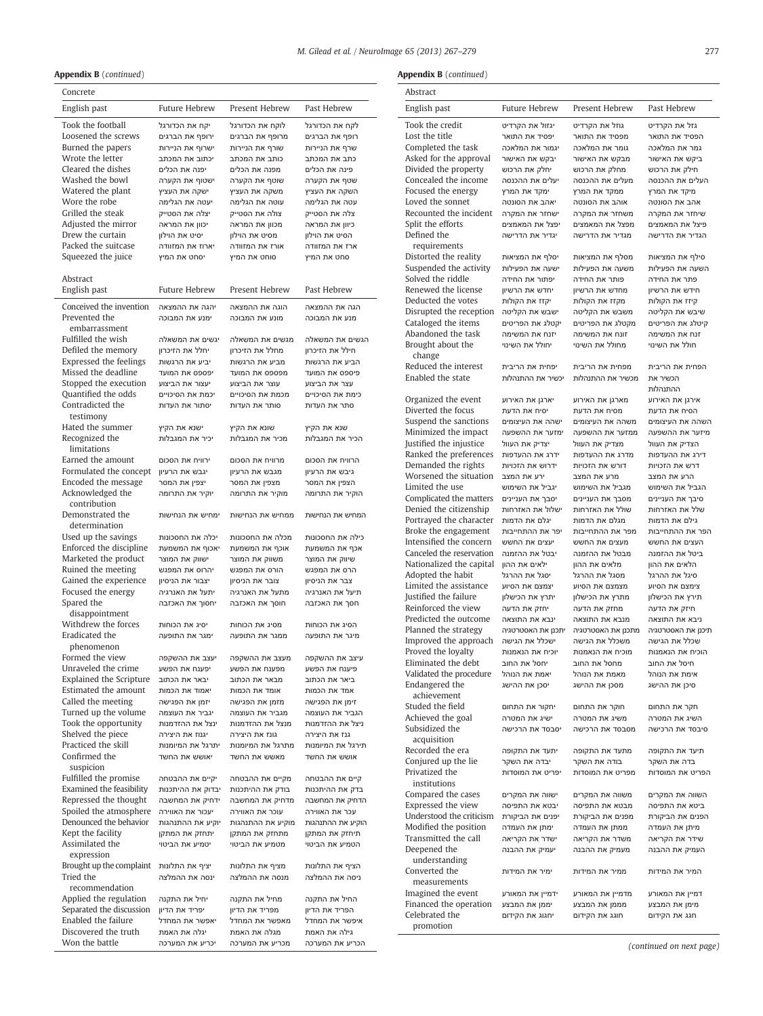#### Appendix B (continued)

| <b>Appendix B</b> (continued)            |                                   |                                   |                                   | Appendix             |
|------------------------------------------|-----------------------------------|-----------------------------------|-----------------------------------|----------------------|
| Concrete                                 |                                   |                                   |                                   | Abstract             |
| English past                             | <b>Future Hebrew</b>              | Present Hebrew                    | Past Hebrew                       | English              |
| Took the football                        | יקח את הכדורגל                    | לוקח את הכדורגל                   | לקח את הכדורגל                    | Took the             |
| Loosened the screws                      | ירופף את הברגים                   | מרופף את הברגים                   | רופף את הברגים                    | Lost the             |
| Burned the papers                        | ישרוף את הניירות                  | שורף את הניירות                   | שרף את הניירות                    | Complet              |
| Wrote the letter                         | יכתוב את המכתב                    | כותב את המכתב                     | כתב את המכתב                      | Asked fo             |
| Cleared the dishes                       | יפנה את הכלים                     | מפנה את הכלים                     | פינה את הכלים                     | Divided              |
| Washed the bowl                          | ישטוף את הקערה                    | שוטף את הקערה                     | שטף את הקערה                      | Conceal              |
| Watered the plant                        | ישקה את העציץ                     | משקה את העציץ                     | השקה את העציץ                     | Focused              |
| Wore the robe                            | יעטה את הגלימה                    | עוטה את הגלימה                    | עטה את הגלימה                     | Loved tl             |
| Grilled the steak<br>Adjusted the mirror | יצלה את הסטייק<br>יכוון את המראה  | צולה את הסטייק                    | צלה את הסטייק                     | Recount<br>Split the |
| Drew the curtain                         | יסיט את הוילון                    | מכוון את המראה<br>מסיט את הוילון  | כיוון את המראה<br>הסיט את הוילון  | Defined              |
| Packed the suitcase                      | יארוז את המזוודה                  | אורז את המזוודה                   | ארז את המזוודה                    | requir               |
| Squeezed the juice                       | יסחט את המיץ                      | סוחט את המיץ                      | סחט את המיץ                       | Distorte             |
|                                          |                                   |                                   |                                   | Suspend              |
| Abstract                                 |                                   |                                   |                                   | Solved t             |
| English past                             | Future Hebrew                     | Present Hebrew                    | Past Hebrew                       | Renewe               |
|                                          |                                   |                                   |                                   | Deducte              |
| Conceived the invention<br>Prevented the | יהגה את ההמצאה                    | הוגה את ההמצאה                    | הגה את ההמצאה                     | Disrupte             |
| embarrassment                            | ימנע את המבוכה                    | מונע את המבוכה                    | מנע את המבוכה                     | Cataloge             |
| Fulfilled the wish                       | יגשים את המשאלה                   | מגשים את המשאלה                   | הגשים את המשאלה                   | Abando               |
| Defiled the memory                       | יחלל את הזיכרון                   | מחלל את הזיכרון                   | חילל את הזיכרון                   | Brought              |
| Expressed the feelings                   | יביע את הרגשות                    | מביע את הרגשות                    | הביע את הרגשות                    | chang                |
| Missed the deadline                      | יפספס את המועד                    | מפספס את המועד                    | פיספס את המועד                    | Reduced              |
| Stopped the execution                    | יעצור את הביצוע                   | עוצר את הביצוע                    | עצר את הביצוע                     | Enabled              |
| Quantified the odds                      | יכמת את הסיכויים                  | מכמת את הסיכויים                  | כימת את הסיכויים                  |                      |
| Contradicted the                         | יסתור את העדות                    | סותר את העדות                     | סתר את העדות                      | Organiz<br>Diverted  |
| testimony                                |                                   |                                   |                                   | Suspend              |
| Hated the summer                         | ישנא את הקיץ                      | שונא את הקיץ                      | שנא את הקיץ                       | Minimiz              |
| Recognized the                           | יכיר את המגבלות                   | מכיר את המגבלות                   | הכיר את המגבלות                   | <b>Iustified</b>     |
| limitations                              |                                   |                                   |                                   | Ranked               |
| Earned the amount                        | ירוויח את הסכום                   | מרוויח את הסכום                   | הרוויח את הסכום                   | Demand               |
| Formulated the concept                   | יגבש את הרעיון                    | מגבש את הרעיון                    | גיבש את הרעיון                    | Worsen               |
| Encoded the message                      | יצפין את המסר                     | מצפין את המסר                     | הצפין את המסר                     | Limited              |
| Acknowledged the<br>contribution         | יוקיר את התרומה                   | מוקיר את התרומה                   | הוקיר את התרומה                   | Complic              |
| Demonstrated the                         | ימחיש את הנחישות                  | ממחיש את הנחישות                  | המחיש את הנחישות                  | Denied               |
| determination                            |                                   |                                   |                                   | Portraye             |
| Used up the savings                      | יכלה את החסכונות                  | מכלה את החסכונות                  | כילה את החסכונות                  | Broke th             |
| Enforced the discipline                  | יאכוף את המשמעת                   | אוכף את המשמעת                    | אכף את המשמעת                     | Intensifi            |
| Marketed the product                     | ישווק את המוצר                    | משווק את המוצר                    | שיווק את המוצר                    | Canceleo             |
| Ruined the meeting                       | יהרוס את המפגש                    | הורס את המפגש                     | הרס את המפגש                      | Nationa <sup>®</sup> |
| Gained the experience                    | יצבור את הניסיון                  | צובר את הניסיון                   | צבר את הניסיון                    | Adopted<br>Limited   |
| Focused the energy                       | יתעל את האנרגיה                   | מתעל את האנרגיה                   | תיעל את האנרגיה                   | <b>Iustified</b>     |
| Spared the                               | יחסוך את האכזבה                   | חוסך את האכזבה                    | חסך את האכזבה                     | Reinford             |
| disappointment                           |                                   |                                   |                                   | Predicte             |
| Withdrew the forces                      | יסיג את הכוחות                    | מסיג את הכוחות                    | הסיג את הכוחות                    | Planned              |
| Eradicated the                           | ימגר את התופעה                    | ממגר את התופעה                    | מיגר את התופעה                    | Improve              |
| phenomenon                               |                                   |                                   |                                   | Proved 1             |
| Formed the view<br>Unraveled the crime   | יעצב את ההשקפה                    | מעצב את ההשקפה                    | עיצב את ההשקפה                    | Eliminat             |
| <b>Explained the Scripture</b>           | יפענח את הפשע<br>יבאר את הכתוב    | מפענח את הפשע<br>מבאר את הכתוב    | פיענח את הפשע<br>ביאר את הכתוב    | Validate             |
| Estimated the amount                     | יאמוד את הכמות                    | אומד את הכמות                     | אמד את הכמות                      | Endange              |
| Called the meeting                       | יזמן את הפגישה                    | מזמן את הפגישה                    | זימן את הפגישה                    | achiev               |
| Turned up the volume                     | יגביר את העוצמה                   | מגביר את העוצמה                   | הגביר את העוצמה                   | Studed 1             |
| Took the opportunity                     | ינצל את ההזדמנות                  | מנצל את ההזדמנות                  | ניצל את ההזדמנות                  | Achieve              |
| Shelved the piece                        | יגנוז את היצירה                   | גונז את היצירה                    | גנז את היצירה                     | Subsidiz             |
| Practiced the skill                      | יתרגל את המיומנות                 | מתרגל את המיומנות                 | תירגל את המיומנות                 | acquis<br>Recorde    |
| Confirmed the                            | יאושש את החשד                     | מאשש את החשד                      | אושש את החשד                      | Conjure              |
| suspicion                                |                                   |                                   |                                   | Privatize            |
| Fulfilled the promise                    | יקיים את ההבטחה                   | מקיים את ההבטחה                   | קיים את ההבטחה                    | institu              |
| Examined the feasibility                 | יבדוק את ההיתכנות                 | בודק את ההיתכנות                  | בדק את ההיתכנות                   | Compar               |
| Repressed the thought                    | ידחיק את המחשבה                   | מדחיק את המחשבה                   | הדחיק את המחשבה                   | <b>Express</b>       |
| Spoiled the atmosphere                   | יעכור את האווירה                  | עוכר את האווירה                   | עכר את האווירה                    | Understo             |
| Denounced the behavior                   | יוקיע את ההתנהגות                 | מוקיע את ההתנהגות                 | הוקיע את ההתנהגות                 | Modifie              |
| Kept the facility<br>Assimilated the     | יתחזק את המתקן<br>יטמיע את הביטוי | מתחזק את המתקן<br>מטמיע את הביטוי | תיחזק את המתקן<br>הטמיע את הביטוי | Transmi              |
| expression                               |                                   |                                   |                                   | Deepen               |
| Brought up the complaint                 | יציף את התלונות                   | מציף את התלונות                   | הציף את התלונות                   | under                |
| Tried the                                | ינסה את ההמלצה                    | מנסה את ההמלצה                    | ניסה את ההמלצה                    | Convert              |
| recommendation                           |                                   |                                   |                                   | measu                |
| Applied the regulation                   | יחיל את התקנה                     | מחיל את התקנה                     | החיל את התקנה                     | Imagine              |
| Separated the discussion                 | יפריד את הדיון                    | מפריד את הדיון                    | הפריד את הדיון                    | Finance              |
| Enabled the failure                      | יאפשר את המחדל                    | מאפשר את המחדל                    | איפשר את המחדל                    | Celebrat<br>promo    |
| Discovered the truth                     | יגלה את האמת                      | מגלה את האמת                      | גילה את האמת                      |                      |
| Won the battle                           | יכריע את המערכה                   | מכריע את המערכה                   | הכריע את המערכה                   |                      |
|                                          |                                   |                                   |                                   |                      |

Appendix B (continued)

| Abstract                                             |                                   |                                   |                                  |
|------------------------------------------------------|-----------------------------------|-----------------------------------|----------------------------------|
| English past                                         | Future Hebrew                     | Present Hebrew                    | Past Hebrew                      |
| Took the credit                                      | יגזול את הקרדיט                   | גוזל את הקרדיט                    | גזל את הקרדיט                    |
| Lost the title                                       | יפסיד את התואר                    | מפסיד את התואר                    | הפסיד את התואר                   |
| Completed the task                                   | יגמור את המלאכה                   | גומר את המלאכה                    | גמר את המלאכה                    |
| Asked for the approval                               | יבקש את האישור<br>יחלק את הרכוש   | מבקש את האישור                    | ביקש את האישור<br>חילק את הרכוש  |
| Divided the property<br>Concealed the income         | יעלים את ההכנסה                   | מחלק את הרכוש<br>מעלים את ההכנסה  | העלים את ההכנסה                  |
| Focused the energy                                   | ימקד את המרץ                      | ממקד את המרץ                      | מיקד את המרץ                     |
| Loved the sonnet                                     | יאהב את הסונטה                    | אוהב את הסונטה                    | אהב את הסונטה                    |
| Recounted the incident                               | ישחזר את המקרה                    | משחזר את המקרה                    | שיחזר את המקרה                   |
| Split the efforts                                    | יפצל את המאמצים                   | מפצל את המאמצים                   | פיצל את המאמצים                  |
| Defined the<br>requirements                          | יגדיר את הדרישה                   | מגדיר את הדרישה                   | הגדיר את הדרישה                  |
| Distorted the reality                                | יסלף את המציאות                   | מסלף את המציאות                   | סילף את המציאות                  |
| Suspended the activity                               | ישעה את הפעילות                   | משעה את הפעילות                   | השעה את הפעילות                  |
| Solved the riddle                                    | יפתור את החידה                    | פותר את החידה                     | פתר את החידה                     |
| Renewed the license<br>Deducted the votes            | יחדש את הרשיון                    | מחדש את הרשיון                    | חידש את הרשיון                   |
| Disrupted the reception                              | יקזז את הקולות<br>ישבש את הקליטה  | מקזז את הקולות<br>משבש את הקליטה  | קיזז את הקולות<br>שיבש את הקליטה |
| Cataloged the items                                  | יקטלג את הפריטים                  | מקטלג את הפריטים                  | קיטלג את הפריטים                 |
| Abandoned the task                                   | יזנח את המשימה                    | זונח את המשימה                    | זנח את המשימה                    |
| Brought about the<br>change                          | יחולל את השינוי                   | מחולל את השינוי                   | חולל את השינוי                   |
| Reduced the interest                                 | יפחית את הריבית                   | מפחית את הריבית                   | הפחית את הריבית                  |
| Enabled the state                                    | יכשיר את ההתנהלות                 | מכשיר את ההתנהלות                 | הכשיר את<br>ההתנהלות             |
| Organized the event                                  | יארגן את האירוע                   | מארגן את האירוע                   | אירגן את האירוע                  |
| Diverted the focus                                   | יסיח את הדעת                      | מסיח את הדעת                      | הסיח את הדעת                     |
| Suspend the sanctions                                | ישהה את העיצומים                  | משהה את העיצומים                  | השהה את העיצומים                 |
| Minimized the impact                                 | ימזער את ההשפעה                   | ממזער את ההשפעה                   | מיזער את ההשפעה                  |
| Justified the injustice                              | יצדיק את העוול                    | מצדיק את העוול                    | הצדיק את העוול                   |
| Ranked the preferences                               | ידרג את ההעדפות                   | מדרג את ההעדפות                   | דירג את ההעדפות                  |
| Demanded the rights<br>Worsened the situation        | ידרוש את הזכויות<br>ירע את המצב   | דורש את הזכויות<br>מרע את המצב    | דרש את הזכויות<br>הרע את המצב    |
| Limited the use                                      | יגביל את השימוש                   | מגביל את השימוש                   | הגביל את השימוש                  |
| Complicated the matters                              | יסבך את העניינים                  | מסבך את העניינים                  | סיבך את העניינים                 |
| Denied the citizenship                               | ישלול את האזרחות                  | שולל את האזרחות                   | שלל את האזרחות                   |
| Portrayed the character                              | יגלם את הדמות                     | מגלם את הדמות                     | גילם את הדמות                    |
| Broke the engagement                                 | יפר את ההתחייבות                  | מפר את ההתחייבות                  | הפר את ההתחייבות                 |
| Intensified the concern                              | יעצים את החשש                     | מעצים את החשש                     | העצים את החשש                    |
| Canceled the reservation<br>Nationalized the capital | יבטל את ההזמנה<br>ילאים את ההון   | מבטל את ההזמנה<br>מלאים את ההון   | ביטל את ההזמנה<br>הלאים את ההון  |
| Adopted the habit                                    | יסגל את ההרגל                     | מסגל את ההרגל                     | סיגל את ההרגל                    |
| Limited the assistance                               | יצמצם את הסיוע                    | מצמצם את הסיוע                    | צימצם את הסיוע                   |
| Justified the failure                                | יתרץ את הכישלון                   | מתרץ את הכישלון                   | תירץ את הכישלון                  |
| Reinforced the view                                  | יחזק את הדעה                      | מחזק את הדעה                      | חיזק את הדעה                     |
| Predicted the outcome                                | ינבא את התוצאה                    | מנבא את התוצאה                    | ניבא את התוצאה                   |
| Planned the strategy                                 | יתכנן את האסטרטגיה                | מתכנן את האסטרטגיה                | תיכנן את האסטרטגיה               |
| Improved the approach                                | ישכלל את הגישה                    | משכלל את הגישה                    | שכלל את הגישה                    |
| Proved the loyalty<br>Eliminated the debt            | יוכיח את הנאמנות<br>יחסל את החוב  | מוכיח את הנאמנות<br>מחסל את החוב  | הוכיח את הנאמנות<br>חיסל את החוב |
| Validated the procedure                              | יאמת את הנוהל                     | מאמת את הנוהל                     | אימת את הנוהל                    |
| Endangered the<br>achievement                        | יסכן את ההישג                     | מסכן את ההישג                     | סיכן את ההישג                    |
| Studed the field                                     | יחקור את התחום                    | חוקר את התחום                     | חקר את התחום                     |
| Achieved the goal                                    | ישיג את המטרה                     | משיג את המטרה                     | השיג את המטרה                    |
| Subsidized the<br>acquisition                        | יסבסד את הרכישה                   | מסבסד את הרכישה                   | סיבסד את הרכישה                  |
| Recorded the era                                     | יתעד את התקופה                    | מתעד את התקופה                    | תיעד את התקופה                   |
| Conjured up the lie                                  | יבדה את השקר                      | בודה את השקר                      | בדה את השקר                      |
| Privatized the<br>institutions                       | יפריט את המוסדות                  | מפריט את המוסדות                  | הפריט את המוסדות                 |
| Compared the cases                                   | ישווה את המקרים                   | משווה את המקרים                   | השווה את המקרים                  |
| Expressed the view                                   | יבטא את התפיסה                    | מבטא את התפיסה                    | ביטא את התפיסה                   |
| Understood the criticism                             | יפנים את הביקורת                  | מפנים את הביקורת                  | הפנים את הביקורת                 |
| Modified the position                                | ימתן את העמדה                     | ממתן את העמדה                     | מיתן את העמדה                    |
| Transmitted the call                                 | ישדר את הקריאה                    | משדר את הקריאה                    | שידר את הקריאה                   |
| Deepened the<br>understanding                        | יעמיק את ההבנה                    | מעמיק את ההבנה                    | העמיק את ההבנה                   |
| Converted the                                        | ימיר את המידות                    | ממיר את המידות                    | המיר את המידות                   |
| measurements                                         |                                   |                                   |                                  |
| Imagined the event<br>Financed the operation         | ידמיין את המאורע<br>יממן את המבצע | מדמיין את המאורע<br>מממן את המבצע | דמיין את המאורע<br>מימן את המבצע |
| Celebrated the                                       | יחגוג את הקידום                   | חוגג את הקידום                    | חגג את הקידום                    |
| promotion                                            |                                   |                                   |                                  |

(continued on next page)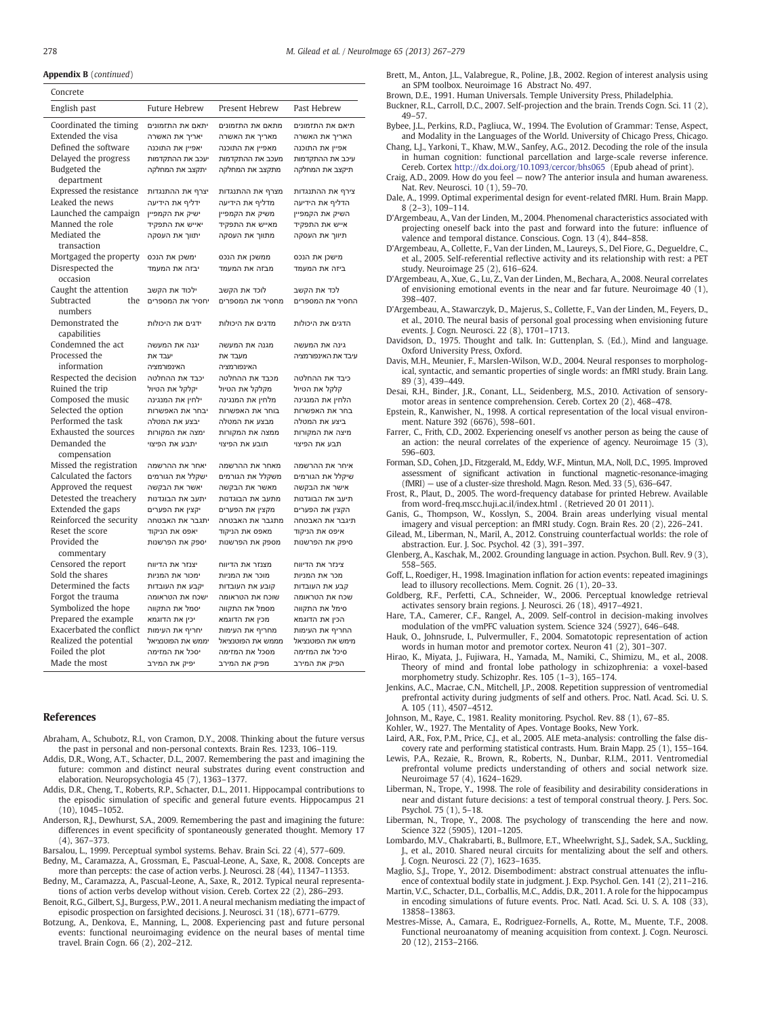#### <span id="page-11-0"></span>Appendix B (continued)

| Concrete                                                                                                                              |                                                                                                             |                                                                                                             |                                                                                                             |
|---------------------------------------------------------------------------------------------------------------------------------------|-------------------------------------------------------------------------------------------------------------|-------------------------------------------------------------------------------------------------------------|-------------------------------------------------------------------------------------------------------------|
| English past                                                                                                                          | <b>Future Hebrew</b>                                                                                        | Present Hebrew                                                                                              | Past Hebrew                                                                                                 |
| Coordinated the timing<br>Extended the visa<br>Defined the software<br>Delayed the progress<br>Budgeted the                           | יתאם את התזמונים<br>יאריך את האשרה<br>יאפיין את התוכנה<br>יעכב את ההתקדמות<br>יתקצב את המחלקה               | מתאם את התזמונים<br>מאריך את האשרה<br>מאפיין את התוכנה<br>מעכב את ההתקדמות<br>מתקצב את המחלקה               | תיאם את התזמונים<br>האריך את האשרה<br>אפיין את התוכנה<br>עיכב את ההתקדמות<br>תיקצב את המחלקה                |
| department<br>Expressed the resistance<br>Leaked the news<br>Launched the campaign<br>Manned the role<br>Mediated the<br>transaction  | יצרף את ההתנגדות<br>ידליף את הידיעה<br>ישיק את הקמפיין<br>יאייש את התפקיד<br>יתווך את העסקה                 | מצרף את ההתנגדות<br>מדליף את הידיעה<br>משיק את הקמפיין<br>מאייש את התפקיד<br>מתווך את העסקה                 | צירף את ההתנגדות<br>הדליף את הידיעה<br>השיק את הקמפיין<br>אייש את התפקיד<br>תיווך את העסקה                  |
| Mortgaged the property<br>Disrespected the<br>occasion                                                                                | ימשכן את הנכס<br>יבזה את המעמד                                                                              | ממשכן את הנכס<br>מבזה את המעמד                                                                              | מישכן את הנכס<br>ביזה את המעמד                                                                              |
| Caught the attention<br>Subtracted<br>the<br>numbers                                                                                  | ילכוד את הקשב<br>יחסיר את המספרים                                                                           | לוכד את הקשב<br>מחסיר את המספרים                                                                            | לכד את הקשב<br>החסיר את המספרים                                                                             |
| Demonstrated the<br>capabilities                                                                                                      | ידגים את היכולות                                                                                            | מדגים את היכולות                                                                                            | הדגים את היכולות                                                                                            |
| Condemned the act<br>Processed the<br>information                                                                                     | יגנה את המעשה<br>יעבד את<br>האינפורמציה                                                                     | מגנה את המעשה<br>מעבד את<br>האינפורמציה                                                                     | גינה את המעשה<br>עיבד את האינפורמציה                                                                        |
| Respected the decision<br>Ruined the trip<br>Composed the music<br>Selected the option                                                | יכבד את ההחלטה<br>יקלקל את הטיול<br>ילחין את המנגינה<br>יבחר את האפשרות                                     | מכבד את ההחלטה<br>מקלקל את הטיול<br>מלחין את המנגינה<br>בוחר את האפשרות                                     | כיבד את ההחלטה<br>קלקל את הטיול<br>הלחין את המנגינה<br>בחר את האפשרות                                       |
| Performed the task<br>Exhausted the sources<br>Demanded the<br>compensation                                                           | יבצע את המטלה<br>ימצה את המקורות<br>יתבע את הפיצוי                                                          | מבצע את המטלה<br>ממצה את המקורות<br>תובע את הפיצוי                                                          | ביצע את המטלה<br>מיצה את המקורות<br>תבע את הפיצוי                                                           |
| Missed the registration<br>Calculated the factors<br>Approved the request<br>Detested the treachery                                   | יאחר את ההרשמה<br>ישקלל את הגורמים<br>יאשר את הבקשה<br>יתעב את הבוגדנות                                     | מאחר את ההרשמה<br>משקלל את הגורמים<br>מאשר את הבקשה<br>מתעב את הבוגדנות                                     | איחר את ההרשמה<br>שיקלל את הגורמים<br>אישר את הבקשה                                                         |
| Extended the gaps<br>Reinforced the security<br>Reset the score<br>Provided the<br>commentary                                         | יקצין את הפערים<br>יתגבר את האבטחה<br>יאפס את הניקוד<br>יספק את הפרשנות                                     | מקצין את הפערים<br>מתגבר את האבטחה<br>מאפס את הניקוד<br>מספק את הפרשנות                                     | תיעב את הבוגדנות<br>הקצין את הפערים<br>תיגבר את האבטחה<br>איפס את הניקוד<br>סיפק את הפרשנות                 |
| Censored the report<br>Sold the shares<br>Determined the facts<br>Forgot the trauma                                                   | יצנזר את הדיווח<br>ימכור את המניות<br>יקבע את העובדות<br>ישכח את הטראומה                                    | מצנזר את הדיווח<br>מוכר את המניות<br>קובע את העובדות<br>שוכח את הטראומה                                     | צינזר את הדיווח<br>מכר את המניות<br>קבע את העובדות<br>שכח את הטראומה                                        |
| Symbolized the hope<br>Prepared the example<br>Exacerbated the conflict<br>Realized the potential<br>Foiled the plot<br>Made the most | יסמל את התקווה<br>יכין את הדוגמא<br>יחריף את העימות<br>יממש את הפוטנציאל<br>יסכל את המזימה<br>יפיק את המירב | מסמל את התקווה<br>מכין את הדוגמא<br>מחריף את העימות<br>מממש את הפוטנציאל<br>מסכל את המזימה<br>מפיק את המירב | סימל את התקווה<br>הכין את הדוגמא<br>החריף את העימות<br>מימש את הפוטנציאל<br>סיכל את המזימה<br>הפיק את המירב |

#### References

- Abraham, A., Schubotz, R.I., von Cramon, D.Y., 2008. Thinking about the future versus the past in personal and non-personal contexts. Brain Res. 1233, 106–119.
- Addis, D.R., Wong, A.T., Schacter, D.L., 2007. Remembering the past and imagining the future: common and distinct neural substrates during event construction and elaboration. Neuropsychologia 45 (7), 1363–1377.
- Addis, D.R., Cheng, T., Roberts, R.P., Schacter, D.L., 2011. Hippocampal contributions to the episodic simulation of specific and general future events. Hippocampus 21 (10), 1045–1052.
- Anderson, R.J., Dewhurst, S.A., 2009. Remembering the past and imagining the future: differences in event specificity of spontaneously generated thought. Memory 17 (4), 367–373.
- Barsalou, L., 1999. Perceptual symbol systems. Behav. Brain Sci. 22 (4), 577–609.
- Bedny, M., Caramazza, A., Grossman, E., Pascual-Leone, A., Saxe, R., 2008. Concepts are more than percepts: the case of action verbs. J. Neurosci. 28 (44), 11347-11353.
- Bedny, M., Caramazza, A., Pascual-Leone, A., Saxe, R., 2012. Typical neural representations of action verbs develop without vision. Cereb. Cortex 22 (2), 286–293.
- Benoit, R.G., Gilbert, S.J., Burgess, P.W., 2011. A neural mechanism mediating the impact of episodic prospection on farsighted decisions. J. Neurosci. 31 (18), 6771–6779.
- Botzung, A., Denkova, E., Manning, L., 2008. Experiencing past and future personal events: functional neuroimaging evidence on the neural bases of mental time travel. Brain Cogn. 66 (2), 202–212.
- Brett, M., Anton, J.L., Valabregue, R., Poline, J.B., 2002. Region of interest analysis using an SPM toolbox. Neuroimage 16 Abstract No. 497.
- Brown, D.E., 1991. Human Universals. Temple University Press, Philadelphia.
- Buckner, R.L., Carroll, D.C., 2007. Self-projection and the brain. Trends Cogn. Sci. 11 (2), 49–57.
- Bybee, J.L., Perkins, R.D., Pagliuca, W., 1994. The Evolution of Grammar: Tense, Aspect, and Modality in the Languages of the World. University of Chicago Press, Chicago.
- Chang, L.J., Yarkoni, T., Khaw, M.W., Sanfey, A.G., 2012. Decoding the role of the insula in human cognition: functional parcellation and large-scale reverse inference. Cereb. Cortex http://dx.doi.org/10.1093/cercor/bhs065 (Epub ahead of print).
- Craig, A.D., 2009. How do you feel now? The anterior insula and human awareness. Nat. Rev. Neurosci. 10 (1), 59–70.
- Dale, A., 1999. Optimal experimental design for event-related fMRI. Hum. Brain Mapp. 8 (2–3), 109–114.
- D'Argembeau, A., Van der Linden, M., 2004. Phenomenal characteristics associated with projecting oneself back into the past and forward into the future: influence of valence and temporal distance. Conscious. Cogn. 13 (4), 844–858.
- D'Argembeau, A., Collette, F., Van der Linden, M., Laureys, S., Del Fiore, G., Degueldre, C. et al., 2005. Self-referential reflective activity and its relationship with rest: a PET study. Neuroimage 25 (2), 616–624.
- D'Argembeau, A., Xue, G., Lu, Z., Van der Linden, M., Bechara, A., 2008. Neural correlates of envisioning emotional events in the near and far future. Neuroimage 40 (1), 398–407.
- D'Argembeau, A., Stawarczyk, D., Majerus, S., Collette, F., Van der Linden, M., Feyers, D., et al., 2010. The neural basis of personal goal processing when envisioning future events. J. Cogn. Neurosci. 22 (8), 1701–1713.
- Davidson, D., 1975. Thought and talk. In: Guttenplan, S. (Ed.), Mind and language. Oxford University Press, Oxford.
- Davis, M.H., Meunier, F., Marslen-Wilson, W.D., 2004. Neural responses to morphological, syntactic, and semantic properties of single words: an fMRI study. Brain Lang. 89 (3), 439–449.
- Desai, R.H., Binder, J.R., Conant, L.L., Seidenberg, M.S., 2010. Activation of sensorymotor areas in sentence comprehension. Cereb. Cortex 20 (2), 468–478.
- Epstein, R., Kanwisher, N., 1998. A cortical representation of the local visual environment. Nature 392 (6676), 598–601.
- Farrer, C., Frith, C.D., 2002. Experiencing oneself vs another person as being the cause of an action: the neural correlates of the experience of agency. Neuroimage 15 (3), 596–603.
- Forman, S.D., Cohen, J.D., Fitzgerald, M., Eddy, W.F., Mintun, M.A., Noll, D.C., 1995. Improved assessment of significant activation in functional magnetic-resonance-imaging (fMRI) — use of a cluster-size threshold. Magn. Reson. Med. 33 (5), 636–647.
- Frost, R., Plaut, D., 2005. The word-frequency database for printed Hebrew. Available from word-freq.mscc.huji.ac.il/index.html . (Retrieved 20 01 2011).
- Ganis, G., Thompson, W., Kosslyn, S., 2004. Brain areas underlying visual mental imagery and visual perception: an fMRI study. Cogn. Brain Res. 20 (2), 226–241.
- Gilead, M., Liberman, N., Maril, A., 2012. Construing counterfactual worlds: the role of abstraction. Eur. J. Soc. Psychol. 42 (3), 391–397.
- Glenberg, A., Kaschak, M., 2002. Grounding language in action. Psychon. Bull. Rev. 9 (3), 558–565.
- Goff, L., Roediger, H., 1998. Imagination inflation for action events: repeated imaginings lead to illusory recollections. Mem. Cognit. 26 (1), 20–33.
- Goldberg, R.F., Perfetti, C.A., Schneider, W., 2006. Perceptual knowledge retrieval activates sensory brain regions. J. Neurosci. 26 (18), 4917–4921.
- Hare, T.A., Camerer, C.F., Rangel, A., 2009. Self-control in decision-making involves modulation of the vmPFC valuation system. Science 324 (5927), 646–648.
- Hauk, O., Johnsrude, I., Pulvermuller, F., 2004. Somatotopic representation of action words in human motor and premotor cortex. Neuron 41 (2), 301–307.
- Hirao, K., Miyata, J., Fujiwara, H., Yamada, M., Namiki, C., Shimizu, M., et al., 2008. Theory of mind and frontal lobe pathology in schizophrenia: a voxel-based morphometry study. Schizophr. Res. 105 (1–3), 165–174.
- Jenkins, A.C., Macrae, C.N., Mitchell, J.P., 2008. Repetition suppression of ventromedial prefrontal activity during judgments of self and others. Proc. Natl. Acad. Sci. U. S. A. 105 (11), 4507–4512.
- Johnson, M., Raye, C., 1981. Reality monitoring. Psychol. Rev. 88 (1), 67–85.
- Kohler, W., 1927. The Mentality of Apes. Vontage Books, New York.
- Laird, A.R., Fox, P.M., Price, C.J., et al., 2005. ALE meta-analysis: controlling the false discovery rate and performing statistical contrasts. Hum. Brain Mapp. 25 (1), 155–164.
- Lewis, P.A., Rezaie, R., Brown, R., Roberts, N., Dunbar, R.I.M., 2011. Ventromedial prefrontal volume predicts understanding of others and social network size. Neuroimage 57 (4), 1624–1629.
- Liberman, N., Trope, Y., 1998. The role of feasibility and desirability considerations in near and distant future decisions: a test of temporal construal theory. J. Pers. Soc. Psychol. 75 (1), 5–18.
- Liberman, N., Trope, Y., 2008. The psychology of transcending the here and now. Science 322 (5905), 1201–1205.
- Lombardo, M.V., Chakrabarti, B., Bullmore, E.T., Wheelwright, S.J., Sadek, S.A., Suckling, J., et al., 2010. Shared neural circuits for mentalizing about the self and others. J. Cogn. Neurosci. 22 (7), 1623–1635.
- Maglio, S.J., Trope, Y., 2012. Disembodiment: abstract construal attenuates the influence of contextual bodily state in judgment. J. Exp. Psychol. Gen. 141 (2), 211–216.
- Martin, V.C., Schacter, D.L., Corballis, M.C., Addis, D.R., 2011. A role for the hippocampus in encoding simulations of future events. Proc. Natl. Acad. Sci. U. S. A. 108 (33), 13858–13863.
- Mestres-Misse, A., Camara, E., Rodriguez-Fornells, A., Rotte, M., Muente, T.F., 2008. Functional neuroanatomy of meaning acquisition from context. J. Cogn. Neurosci. 20 (12), 2153–2166.